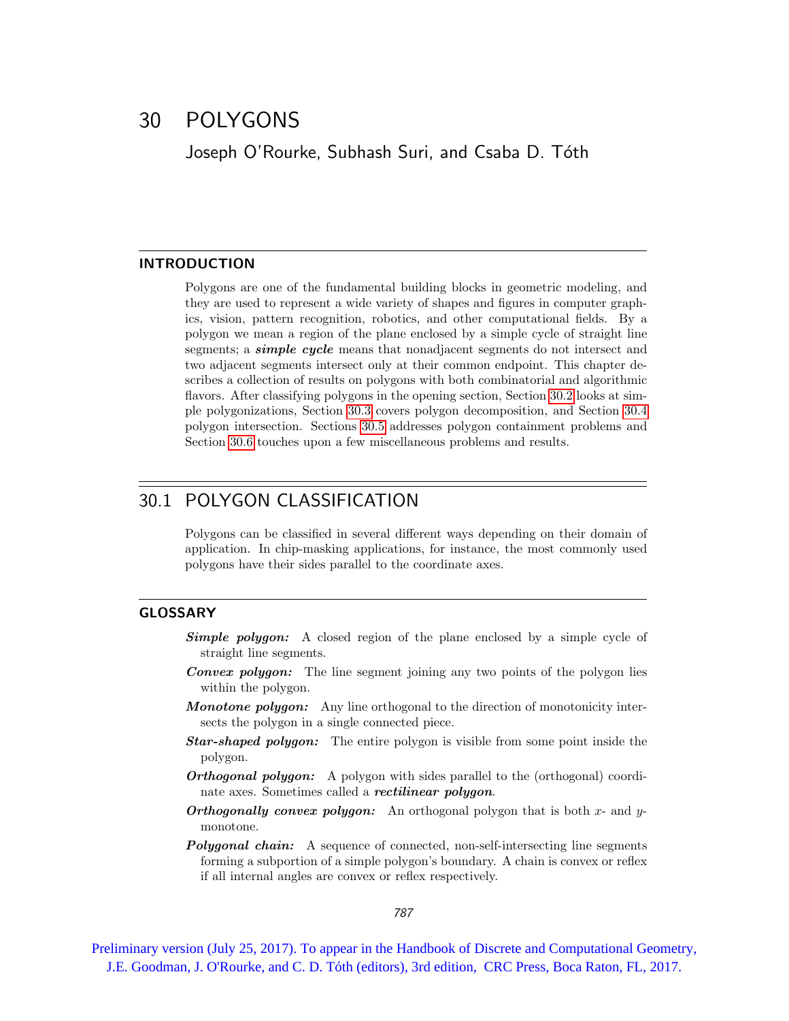# 30 POLYGONS

Joseph O'Rourke, Subhash Suri, and Csaba D. Tóth

# INTRODUCTION

Polygons are one of the fundamental building blocks in geometric modeling, and they are used to represent a wide variety of shapes and figures in computer graphics, vision, pattern recognition, robotics, and other computational fields. By a polygon we mean a region of the plane enclosed by a simple cycle of straight line segments; a *simple cycle* means that nonadjacent segments do not intersect and two adjacent segments intersect only at their common endpoint. This chapter describes a collection of results on polygons with both combinatorial and algorithmic flavors. After classifying polygons in the opening section, Section [30.2](#page-2-0) looks at simple polygonizations, Section [30.3](#page-3-0) covers polygon decomposition, and Section [30.4](#page-11-0) polygon intersection. Sections [30.5](#page-11-1) addresses polygon containment problems and Section [30.6](#page-14-0) touches upon a few miscellaneous problems and results.

# 30.1 POLYGON CLASSIFICATION

Polygons can be classified in several different ways depending on their domain of application. In chip-masking applications, for instance, the most commonly used polygons have their sides parallel to the coordinate axes.

## GLOSSARY

- **Simple polygon:** A closed region of the plane enclosed by a simple cycle of straight line segments.
- **Convex polygon:** The line segment joining any two points of the polygon lies within the polygon.
- **Monotone polygon:** Any line orthogonal to the direction of monotonicity intersects the polygon in a single connected piece.
- **Star-shaped polygon:** The entire polygon is visible from some point inside the polygon.
- Orthogonal polygon: A polygon with sides parallel to the (orthogonal) coordinate axes. Sometimes called a **rectilinear polygon**.
- **Orthogonally convex polygon:** An orthogonal polygon that is both x- and ymonotone.
- **Polygonal chain:** A sequence of connected, non-self-intersecting line segments forming a subportion of a simple polygon's boundary. A chain is convex or reflex if all internal angles are convex or reflex respectively.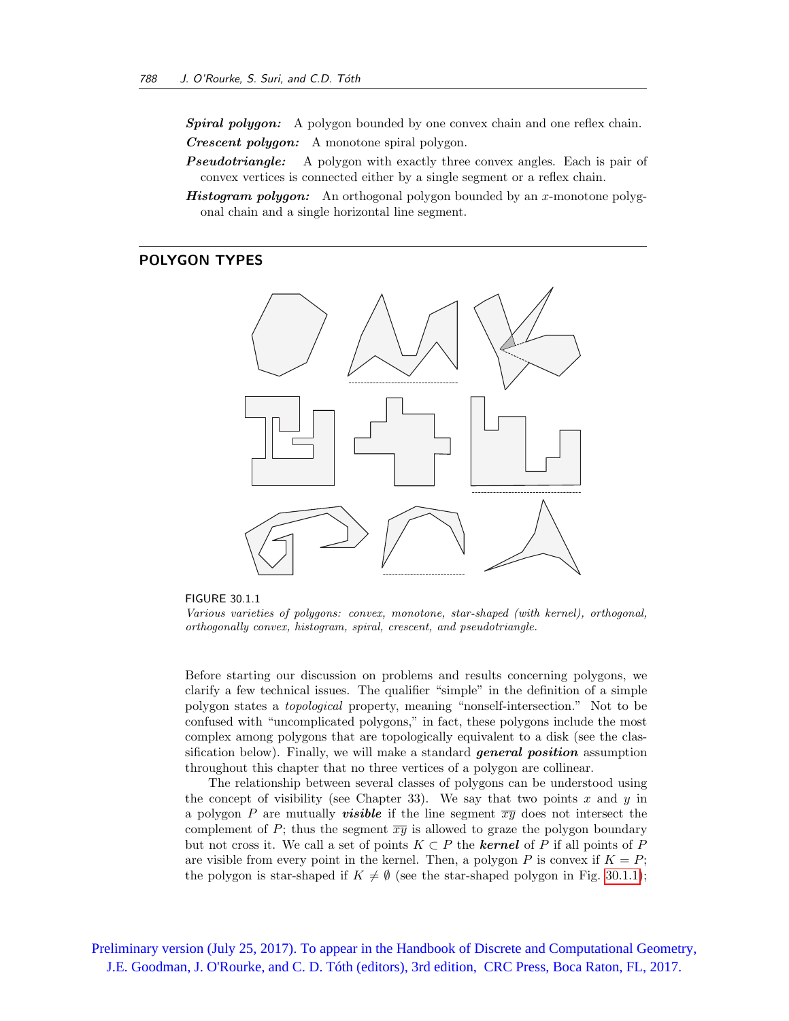**Spiral polygon:** A polygon bounded by one convex chain and one reflex chain. Crescent polygon: A monotone spiral polygon.

**Pseudotriangle:** A polygon with exactly three convex angles. Each is pair of convex vertices is connected either by a single segment or a reflex chain.

**Histogram polygon:** An orthogonal polygon bounded by an x-monotone polygonal chain and a single horizontal line segment.

# POLYGON TYPES



#### FIGURE 30.1.1

<span id="page-1-0"></span>Various varieties of polygons: convex, monotone, star-shaped (with kernel), orthogonal, orthogonally convex, histogram, spiral, crescent, and pseudotriangle.

Before starting our discussion on problems and results concerning polygons, we clarify a few technical issues. The qualifier "simple" in the definition of a simple polygon states a topological property, meaning "nonself-intersection." Not to be confused with "uncomplicated polygons," in fact, these polygons include the most complex among polygons that are topologically equivalent to a disk (see the classification below). Finally, we will make a standard *general position* assumption throughout this chapter that no three vertices of a polygon are collinear.

The relationship between several classes of polygons can be understood using the concept of visibility (see Chapter 33). We say that two points x and y in a polygon P are mutually **visible** if the line segment  $\overline{xy}$  does not intersect the complement of P; thus the segment  $\overline{xy}$  is allowed to graze the polygon boundary but not cross it. We call a set of points  $K \subset P$  the **kernel** of P if all points of P are visible from every point in the kernel. Then, a polygon P is convex if  $K = P$ ; the polygon is star-shaped if  $K \neq \emptyset$  (see the star-shaped polygon in Fig. [30.1.1\)](#page-1-0);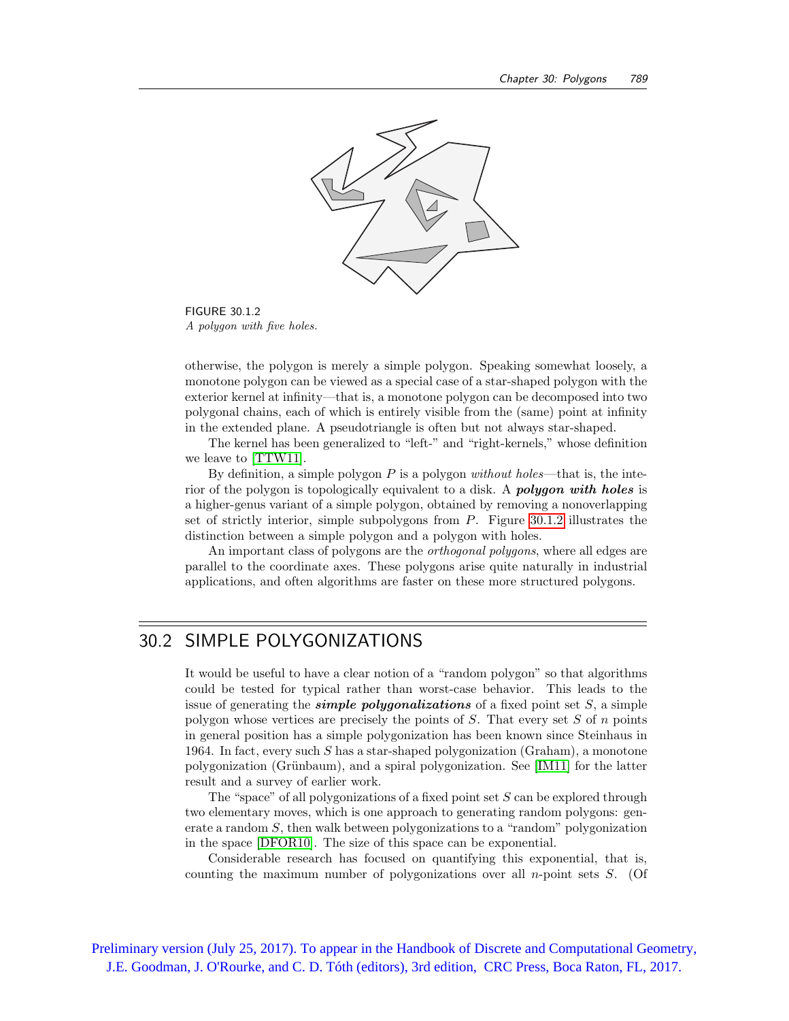

<span id="page-2-1"></span>FIGURE 30.1.2 A polygon with five holes.

otherwise, the polygon is merely a simple polygon. Speaking somewhat loosely, a monotone polygon can be viewed as a special case of a star-shaped polygon with the exterior kernel at infinity—that is, a monotone polygon can be decomposed into two polygonal chains, each of which is entirely visible from the (same) point at infinity in the extended plane. A pseudotriangle is often but not always star-shaped.

The kernel has been generalized to "left-" and "right-kernels," whose definition we leave to [\[TTW11\]](#page-23-0).

By definition, a simple polygon  $P$  is a polygon *without holes*—that is, the interior of the polygon is topologically equivalent to a disk. A **polygon with holes** is a higher-genus variant of a simple polygon, obtained by removing a nonoverlapping set of strictly interior, simple subpolygons from  $P$ . Figure [30.1.2](#page-2-1) illustrates the distinction between a simple polygon and a polygon with holes.

An important class of polygons are the *orthogonal polygons*, where all edges are parallel to the coordinate axes. These polygons arise quite naturally in industrial applications, and often algorithms are faster on these more structured polygons.

# 30.2 SIMPLE POLYGONIZATIONS

<span id="page-2-0"></span>It would be useful to have a clear notion of a "random polygon" so that algorithms could be tested for typical rather than worst-case behavior. This leads to the issue of generating the *simple polygonalizations* of a fixed point set  $S$ , a simple polygon whose vertices are precisely the points of  $S$ . That every set  $S$  of  $n$  points in general position has a simple polygonization has been known since Steinhaus in 1964. In fact, every such S has a star-shaped polygonization (Graham), a monotone polygonization (Grünbaum), and a spiral polygonization. See [\[IM11\]](#page-21-0) for the latter result and a survey of earlier work.

The "space" of all polygonizations of a fixed point set  $S$  can be explored through two elementary moves, which is one approach to generating random polygons: generate a random S, then walk between polygonizations to a "random" polygonization in the space [\[DFOR10\]](#page-19-0). The size of this space can be exponential.

Considerable research has focused on quantifying this exponential, that is, counting the maximum number of polygonizations over all *n*-point sets  $S$ . (Of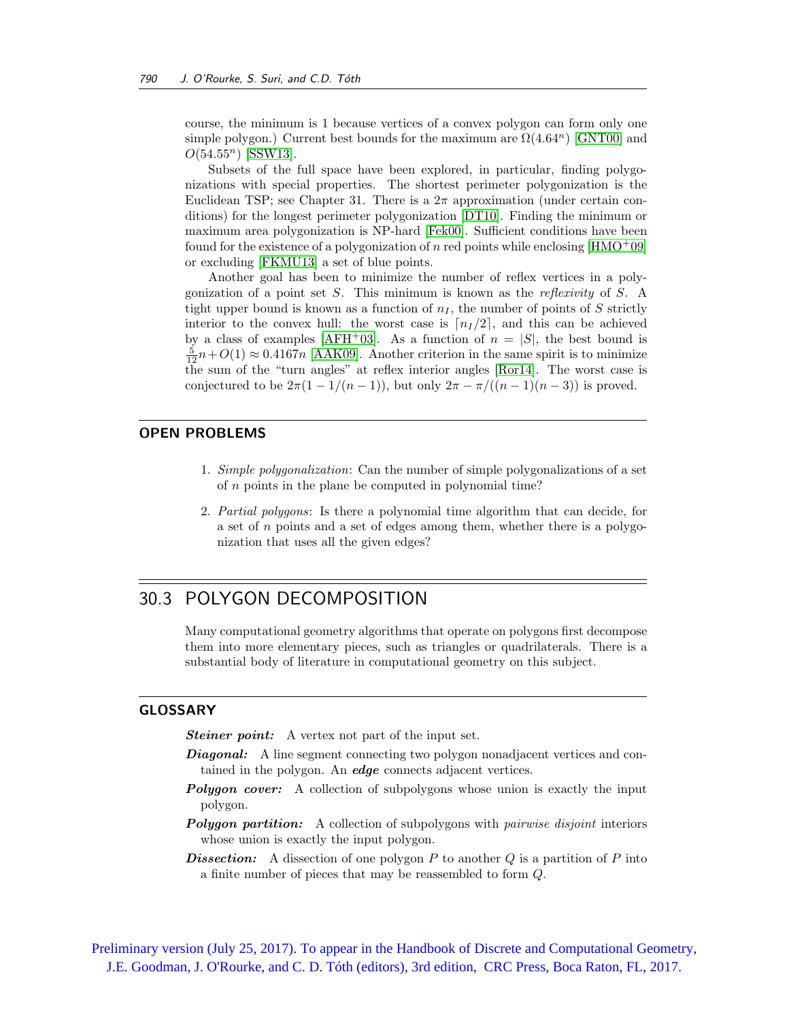course, the minimum is 1 because vertices of a convex polygon can form only one simple polygon.) Current best bounds for the maximum are  $\Omega(4.64^n)$  [\[GNT00\]](#page-21-1) and  $O(54.55^n)$  [\[SSW13\]](#page-23-1).

Subsets of the full space have been explored, in particular, finding polygonizations with special properties. The shortest perimeter polygonization is the Euclidean TSP; see Chapter 31. There is a  $2\pi$  approximation (under certain conditions) for the longest perimeter polygonization [\[DT10\]](#page-20-0). Finding the minimum or maximum area polygonization is NP-hard [\[Fek00\]](#page-20-1). Sufficient conditions have been found for the existence of a polygonization of n red points while enclosing  $[HMO^+09]$  $[HMO^+09]$ or excluding [\[FKMU13\]](#page-20-2) a set of blue points.

Another goal has been to minimize the number of reflex vertices in a polygonization of a point set S. This minimum is known as the reflexivity of S. A tight upper bound is known as a function of  $n<sub>I</sub>$ , the number of points of S strictly interior to the convex hull: the worst case is  $\lceil n_I / 2 \rceil$ , and this can be achieved by a class of examples  $[AFH^+03]$  $[AFH^+03]$ . As a function of  $n = |S|$ , the best bound is  $\frac{5}{12}n+O(1) \approx 0.4167n$  [\[AAK09\]](#page-17-1). Another criterion in the same spirit is to minimize the sum of the "turn angles" at reflex interior angles [\[Ror14\]](#page-23-2). The worst case is conjectured to be  $2\pi(1 - 1/(n-1))$ , but only  $2\pi - \pi/((n-1)(n-3))$  is proved.

# OPEN PROBLEMS

- 1. Simple polygonalization: Can the number of simple polygonalizations of a set of n points in the plane be computed in polynomial time?
- 2. Partial polygons: Is there a polynomial time algorithm that can decide, for a set of n points and a set of edges among them, whether there is a polygonization that uses all the given edges?

# 30.3 POLYGON DECOMPOSITION

<span id="page-3-0"></span>Many computational geometry algorithms that operate on polygons first decompose them into more elementary pieces, such as triangles or quadrilaterals. There is a substantial body of literature in computational geometry on this subject.

### GLOSSARY

Steiner point: A vertex not part of the input set.

- **Diagonal:** A line segment connecting two polygon nonadjacent vertices and contained in the polygon. An *edge* connects adjacent vertices.
- **Polygon cover:** A collection of subpolygons whose union is exactly the input polygon.
- **Polygon partition:** A collection of subpolygons with pairwise disjoint interiors whose union is exactly the input polygon.
- **Dissection:** A dissection of one polygon P to another  $Q$  is a partition of P into a finite number of pieces that may be reassembled to form Q.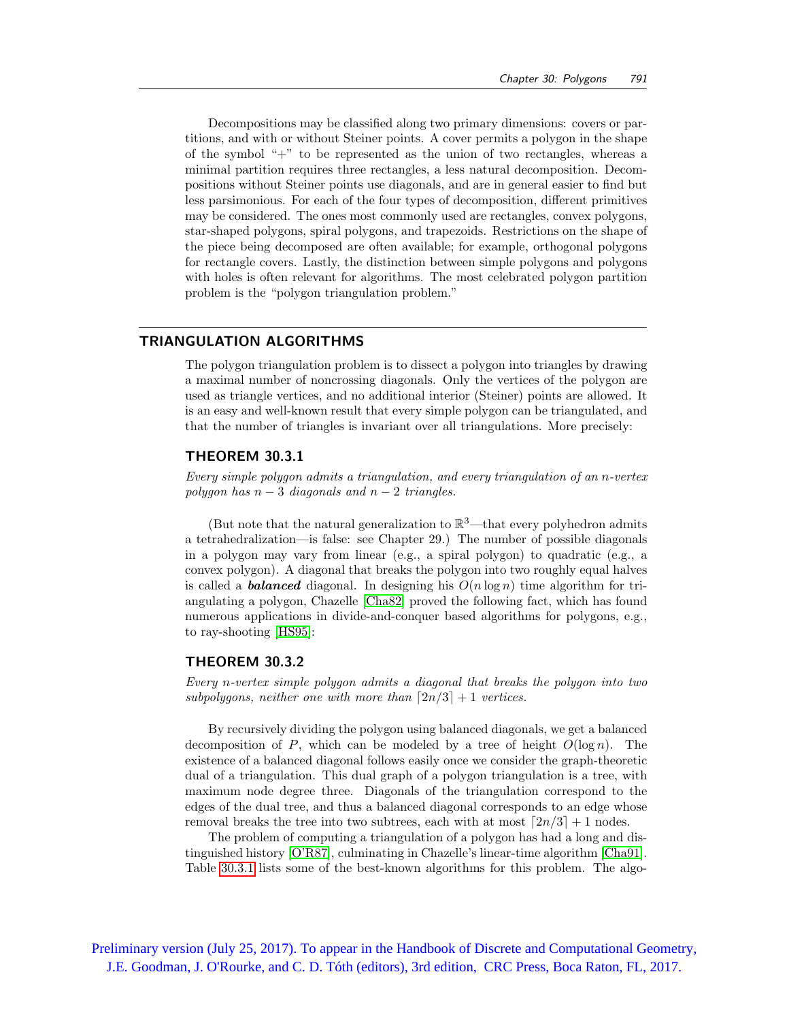Decompositions may be classified along two primary dimensions: covers or partitions, and with or without Steiner points. A cover permits a polygon in the shape of the symbol "+" to be represented as the union of two rectangles, whereas a minimal partition requires three rectangles, a less natural decomposition. Decompositions without Steiner points use diagonals, and are in general easier to find but less parsimonious. For each of the four types of decomposition, different primitives may be considered. The ones most commonly used are rectangles, convex polygons, star-shaped polygons, spiral polygons, and trapezoids. Restrictions on the shape of the piece being decomposed are often available; for example, orthogonal polygons for rectangle covers. Lastly, the distinction between simple polygons and polygons with holes is often relevant for algorithms. The most celebrated polygon partition problem is the "polygon triangulation problem."

# TRIANGULATION ALGORITHMS

The polygon triangulation problem is to dissect a polygon into triangles by drawing a maximal number of noncrossing diagonals. Only the vertices of the polygon are used as triangle vertices, and no additional interior (Steiner) points are allowed. It is an easy and well-known result that every simple polygon can be triangulated, and that the number of triangles is invariant over all triangulations. More precisely:

# THEOREM 30.3.1

Every simple polygon admits a triangulation, and every triangulation of an n-vertex polygon has  $n-3$  diagonals and  $n-2$  triangles.

(But note that the natural generalization to  $\mathbb{R}^3$ —that every polyhedron admits a tetrahedralization—is false: see Chapter 29.) The number of possible diagonals in a polygon may vary from linear (e.g., a spiral polygon) to quadratic (e.g., a convex polygon). A diagonal that breaks the polygon into two roughly equal halves is called a **balanced** diagonal. In designing his  $O(n \log n)$  time algorithm for triangulating a polygon, Chazelle [\[Cha82\]](#page-19-1) proved the following fact, which has found numerous applications in divide-and-conquer based algorithms for polygons, e.g., to ray-shooting [\[HS95\]](#page-21-3):

### THEOREM 30.3.2

Every n-vertex simple polygon admits a diagonal that breaks the polygon into two subpolygons, neither one with more than  $\lceil 2n/3 \rceil + 1$  vertices.

By recursively dividing the polygon using balanced diagonals, we get a balanced decomposition of P, which can be modeled by a tree of height  $O(\log n)$ . The existence of a balanced diagonal follows easily once we consider the graph-theoretic dual of a triangulation. This dual graph of a polygon triangulation is a tree, with maximum node degree three. Diagonals of the triangulation correspond to the edges of the dual tree, and thus a balanced diagonal corresponds to an edge whose removal breaks the tree into two subtrees, each with at most  $\lceil 2n/3 \rceil + 1$  nodes.

The problem of computing a triangulation of a polygon has had a long and distinguished history [\[O'R87\]](#page-22-0), culminating in Chazelle's linear-time algorithm [\[Cha91\]](#page-19-2). Table [30.3.1](#page-5-0) lists some of the best-known algorithms for this problem. The algo-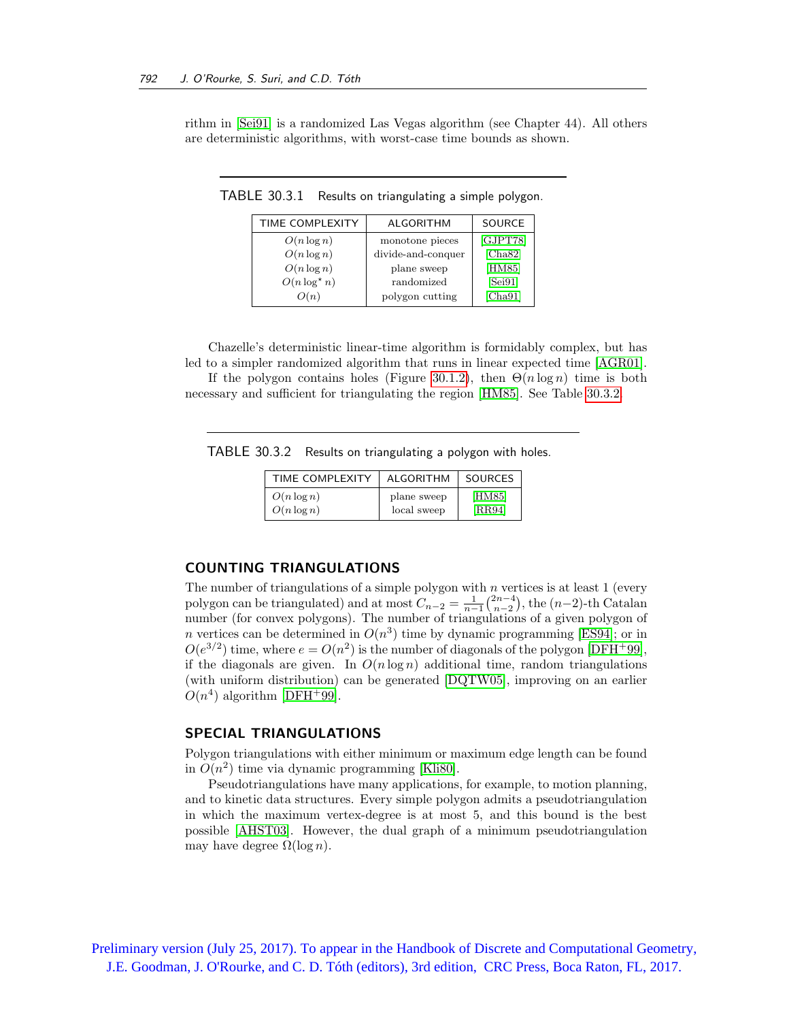rithm in [\[Sei91\]](#page-23-3) is a randomized Las Vegas algorithm (see Chapter 44). All others are deterministic algorithms, with worst-case time bounds as shown.

<span id="page-5-0"></span>

| TIME COMPLEXITY       | ALGORITHM          | <b>SOURCE</b> |
|-----------------------|--------------------|---------------|
| $O(n \log n)$         | monotone pieces    | [GJPT78]      |
| $O(n \log n)$         | divide-and-conquer | [Cha82]       |
| $O(n \log n)$         | plane sweep        | [HM85]        |
| $O(n \log^{\star} n)$ | randomized         | [Sei91]       |
| O(n)                  | polygon cutting    | [Cha91]       |

TABLE 30.3.1 Results on triangulating a simple polygon.

Chazelle's deterministic linear-time algorithm is formidably complex, but has led to a simpler randomized algorithm that runs in linear expected time [\[AGR01\]](#page-17-2). If the polygon contains holes (Figure [30.1.2\)](#page-2-1), then  $\Theta(n \log n)$  time is both necessary and sufficient for triangulating the region [\[HM85\]](#page-21-4). See Table [30.3.2.](#page-5-1)

TABLE 30.3.2 Results on triangulating a polygon with holes.

<span id="page-5-1"></span>

| <b>TIME COMPLEXITY</b> | ALGORITHM   | SOURCES |
|------------------------|-------------|---------|
| $O(n \log n)$          | plane sweep | [HM85]  |
| $O(n \log n)$          | local sweep | [RR94]  |

### COUNTING TRIANGULATIONS

The number of triangulations of a simple polygon with  $n$  vertices is at least 1 (every polygon can be triangulated) and at most  $C_{n-2} = \frac{1}{n-1} {2n-4 \choose n-2}$ , the  $(n-2)$ -th Catalan number (for convex polygons). The number of triangulations of a given polygon of *n* vertices can be determined in  $O(n^3)$  time by dynamic programming [\[ES94\]](#page-20-4); or in  $O(e^{3/2})$  time, where  $e = O(n^2)$  is the number of diagonals of the polygon [\[DFH](#page-19-3)+99], if the diagonals are given. In  $O(n \log n)$  additional time, random triangulations (with uniform distribution) can be generated [\[DQTW05\]](#page-20-5), improving on an earlier  $O(n^4)$  algorithm [\[DFH](#page-19-3)+99].

### SPECIAL TRIANGULATIONS

Polygon triangulations with either minimum or maximum edge length can be found in  $O(n^2)$  time via dynamic programming [\[Kli80\]](#page-21-5).

Pseudotriangulations have many applications, for example, to motion planning, and to kinetic data structures. Every simple polygon admits a pseudotriangulation in which the maximum vertex-degree is at most 5, and this bound is the best possible [\[AHST03\]](#page-17-3). However, the dual graph of a minimum pseudotriangulation may have degree  $\Omega(\log n)$ .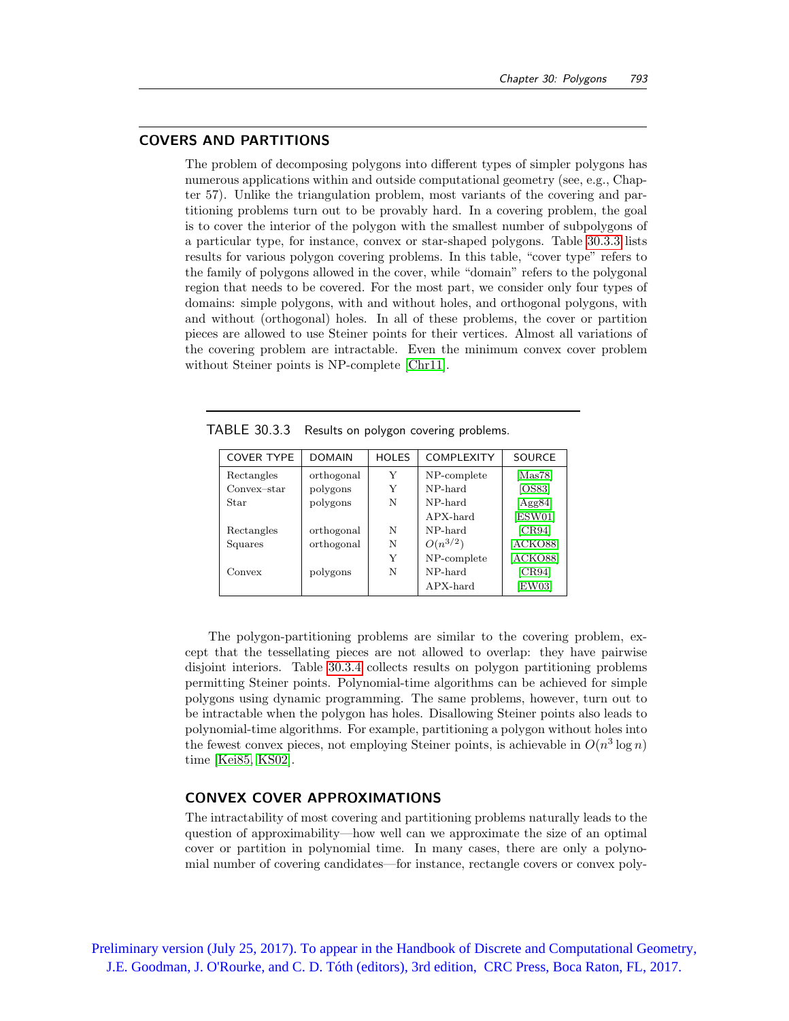# COVERS AND PARTITIONS

The problem of decomposing polygons into different types of simpler polygons has numerous applications within and outside computational geometry (see, e.g., Chapter 57). Unlike the triangulation problem, most variants of the covering and partitioning problems turn out to be provably hard. In a covering problem, the goal is to cover the interior of the polygon with the smallest number of subpolygons of a particular type, for instance, convex or star-shaped polygons. Table [30.3.3](#page-6-0) lists results for various polygon covering problems. In this table, "cover type" refers to the family of polygons allowed in the cover, while "domain" refers to the polygonal region that needs to be covered. For the most part, we consider only four types of domains: simple polygons, with and without holes, and orthogonal polygons, with and without (orthogonal) holes. In all of these problems, the cover or partition pieces are allowed to use Steiner points for their vertices. Almost all variations of the covering problem are intractable. Even the minimum convex cover problem without Steiner points is NP-complete [\[Chr11\]](#page-19-4).

TABLE 30.3.3 Results on polygon covering problems.

<span id="page-6-0"></span>

| <b>COVER TYPE</b> | <b>DOMAIN</b> | <b>HOLES</b> | <b>COMPLEXITY</b> | <b>SOURCE</b> |
|-------------------|---------------|--------------|-------------------|---------------|
| Rectangles        | orthogonal    | Y            | NP-complete       | [Mas78]       |
| Convex-star       | polygons      | Y            | NP-hard           | [OS83]        |
| Star              | polygons      | N            | NP-hard           | [Agg84]       |
|                   |               |              | $APX$ -hard       | [ESW01]       |
| Rectangles        | orthogonal    | N            | NP-hard           | [CR94]        |
| Squares           | orthogonal    | N            | $O(n^{3/2})$      | [ACKO88]      |
|                   |               | Y            | NP-complete       | [ACKO88]      |
| Convex            | polygons      | N            | NP-hard           | [CR94]        |
|                   |               |              | $APX$ -hard       | EW03          |

The polygon-partitioning problems are similar to the covering problem, except that the tessellating pieces are not allowed to overlap: they have pairwise disjoint interiors. Table [30.3.4](#page-7-0) collects results on polygon partitioning problems permitting Steiner points. Polynomial-time algorithms can be achieved for simple polygons using dynamic programming. The same problems, however, turn out to be intractable when the polygon has holes. Disallowing Steiner points also leads to polynomial-time algorithms. For example, partitioning a polygon without holes into the fewest convex pieces, not employing Steiner points, is achievable in  $O(n^3 \log n)$ time [\[Kei85,](#page-21-6) [KS02\]](#page-21-7).

# CONVEX COVER APPROXIMATIONS

The intractability of most covering and partitioning problems naturally leads to the question of approximability—how well can we approximate the size of an optimal cover or partition in polynomial time. In many cases, there are only a polynomial number of covering candidates—for instance, rectangle covers or convex poly-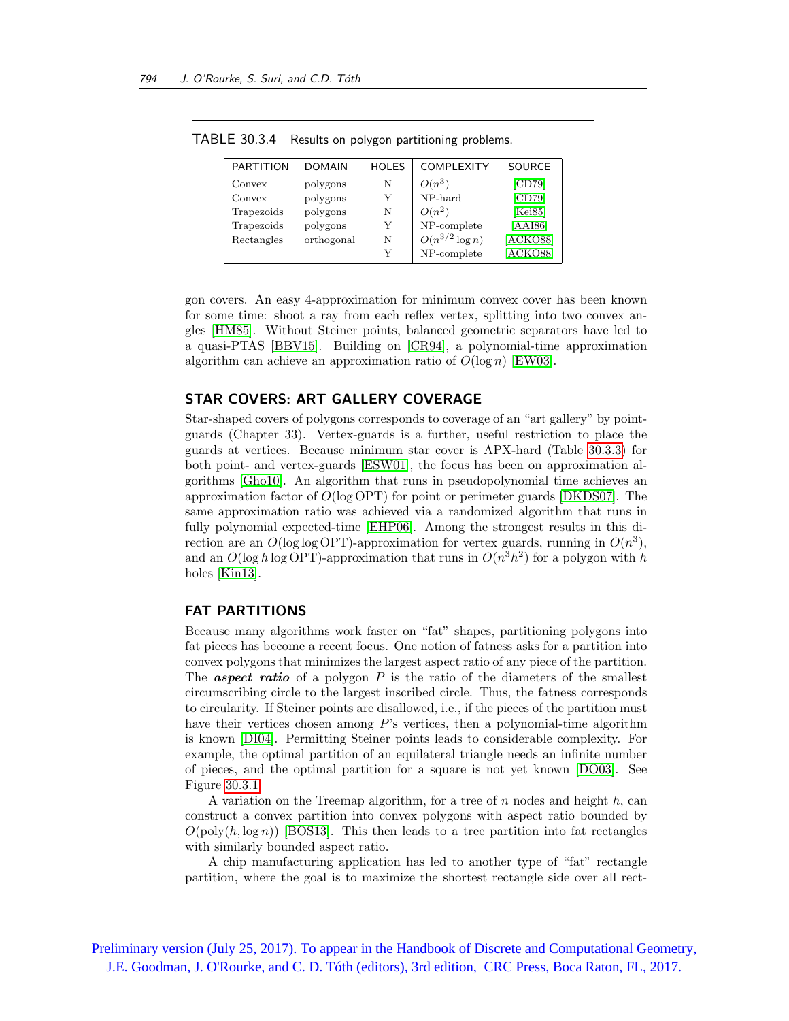<span id="page-7-0"></span>

| <b>PARTITION</b> | <b>DOMAIN</b> | <b>HOLES</b> | <b>COMPLEXITY</b>  | SOURCE   |
|------------------|---------------|--------------|--------------------|----------|
| Convex           | polygons      | N            | $O(n^3)$           | [CD79]   |
| Convex           | polygons      | Y            | NP-hard            | [CD79]   |
| Trapezoids       | polygons      | N            | $O(n^2)$           | [Kei85]  |
| Trapezoids       | polygons      | Y            | NP-complete        | [AAI86]  |
| Rectangles       | orthogonal    | N            | $O(n^{3/2}\log n)$ | [ACKO88] |
|                  |               | Y            | NP-complete        | [ACKO88] |

TABLE 30.3.4 Results on polygon partitioning problems.

gon covers. An easy 4-approximation for minimum convex cover has been known for some time: shoot a ray from each reflex vertex, splitting into two convex angles [\[HM85\]](#page-21-4). Without Steiner points, balanced geometric separators have led to a quasi-PTAS [\[BBV15\]](#page-18-0). Building on [\[CR94\]](#page-19-5), a polynomial-time approximation algorithm can achieve an approximation ratio of  $O(\log n)$  [\[EW03\]](#page-20-7).

# STAR COVERS: ART GALLERY COVERAGE

Star-shaped covers of polygons corresponds to coverage of an "art gallery" by pointguards (Chapter 33). Vertex-guards is a further, useful restriction to place the guards at vertices. Because minimum star cover is APX-hard (Table [30.3.3\)](#page-6-0) for both point- and vertex-guards [\[ESW01\]](#page-20-6), the focus has been on approximation algorithms [\[Gho10\]](#page-20-8). An algorithm that runs in pseudopolynomial time achieves an approximation factor of  $O(\log \text{OPT})$  for point or perimeter guards [\[DKDS07\]](#page-19-7). The same approximation ratio was achieved via a randomized algorithm that runs in fully polynomial expected-time [\[EHP06\]](#page-20-9). Among the strongest results in this direction are an  $O(\log \log \text{OPT})$ -approximation for vertex guards, running in  $O(n^3)$ , and an  $O(\log h \log \text{OPT})$ -approximation that runs in  $O(n^3 h^2)$  for a polygon with h holes [\[Kin13\]](#page-21-8).

## FAT PARTITIONS

Because many algorithms work faster on "fat" shapes, partitioning polygons into fat pieces has become a recent focus. One notion of fatness asks for a partition into convex polygons that minimizes the largest aspect ratio of any piece of the partition. The **aspect ratio** of a polygon  $P$  is the ratio of the diameters of the smallest circumscribing circle to the largest inscribed circle. Thus, the fatness corresponds to circularity. If Steiner points are disallowed, i.e., if the pieces of the partition must have their vertices chosen among P's vertices, then a polynomial-time algorithm is known [\[DI04\]](#page-19-8). Permitting Steiner points leads to considerable complexity. For example, the optimal partition of an equilateral triangle needs an infinite number of pieces, and the optimal partition for a square is not yet known [\[DO03\]](#page-20-10). See Figure [30.3.1.](#page-1-0)

A variation on the Treemap algorithm, for a tree of  $n$  nodes and height  $h$ , can construct a convex partition into convex polygons with aspect ratio bounded by  $O(poly(h, \log n))$  [\[BOS13\]](#page-18-1). This then leads to a tree partition into fat rectangles with similarly bounded aspect ratio.

A chip manufacturing application has led to another type of "fat" rectangle partition, where the goal is to maximize the shortest rectangle side over all rect-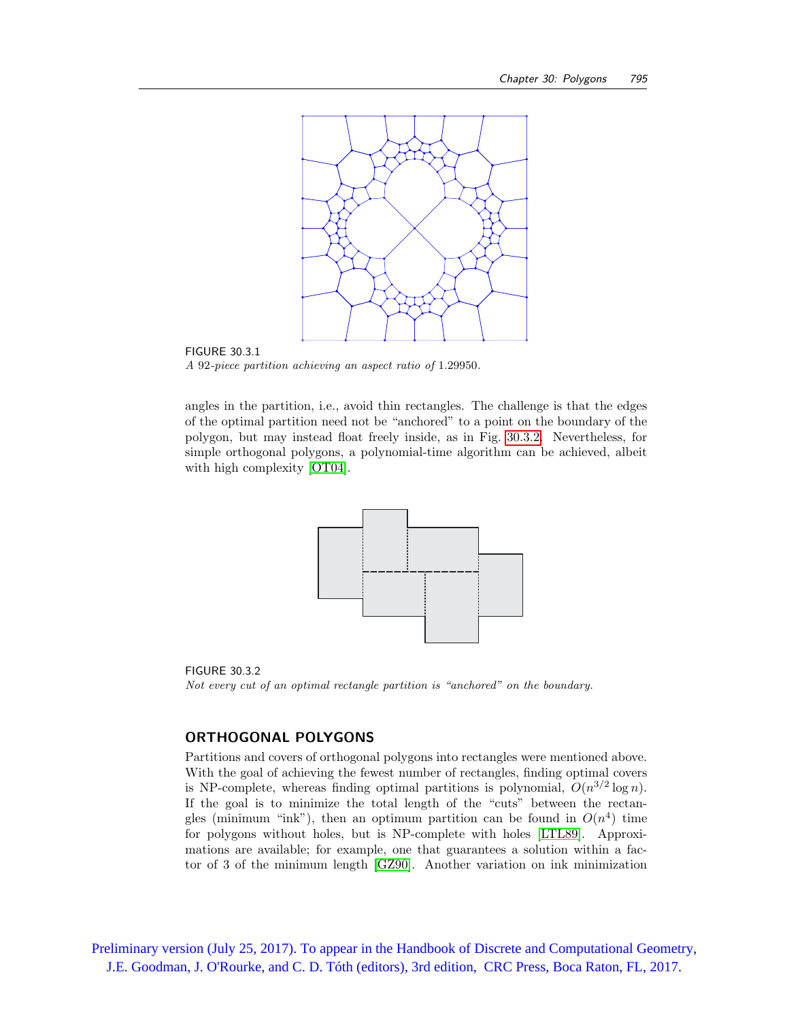

FIGURE 30.3.1 A 92-piece partition achieving an aspect ratio of 1.29950.

angles in the partition, i.e., avoid thin rectangles. The challenge is that the edges of the optimal partition need not be "anchored" to a point on the boundary of the polygon, but may instead float freely inside, as in Fig. [30.3.2.](#page-2-1) Nevertheless, for simple orthogonal polygons, a polynomial-time algorithm can be achieved, albeit with high complexity [\[OT04\]](#page-22-3).



FIGURE 30.3.2 Not every cut of an optimal rectangle partition is "anchored" on the boundary.

# ORTHOGONAL POLYGONS

Partitions and covers of orthogonal polygons into rectangles were mentioned above. With the goal of achieving the fewest number of rectangles, finding optimal covers is NP-complete, whereas finding optimal partitions is polynomial,  $O(n^{3/2} \log n)$ . If the goal is to minimize the total length of the "cuts" between the rectangles (minimum "ink"), then an optimum partition can be found in  $O(n^4)$  time for polygons without holes, but is NP-complete with holes [\[LTL89\]](#page-22-4). Approximations are available; for example, one that guarantees a solution within a factor of 3 of the minimum length [\[GZ90\]](#page-21-9). Another variation on ink minimization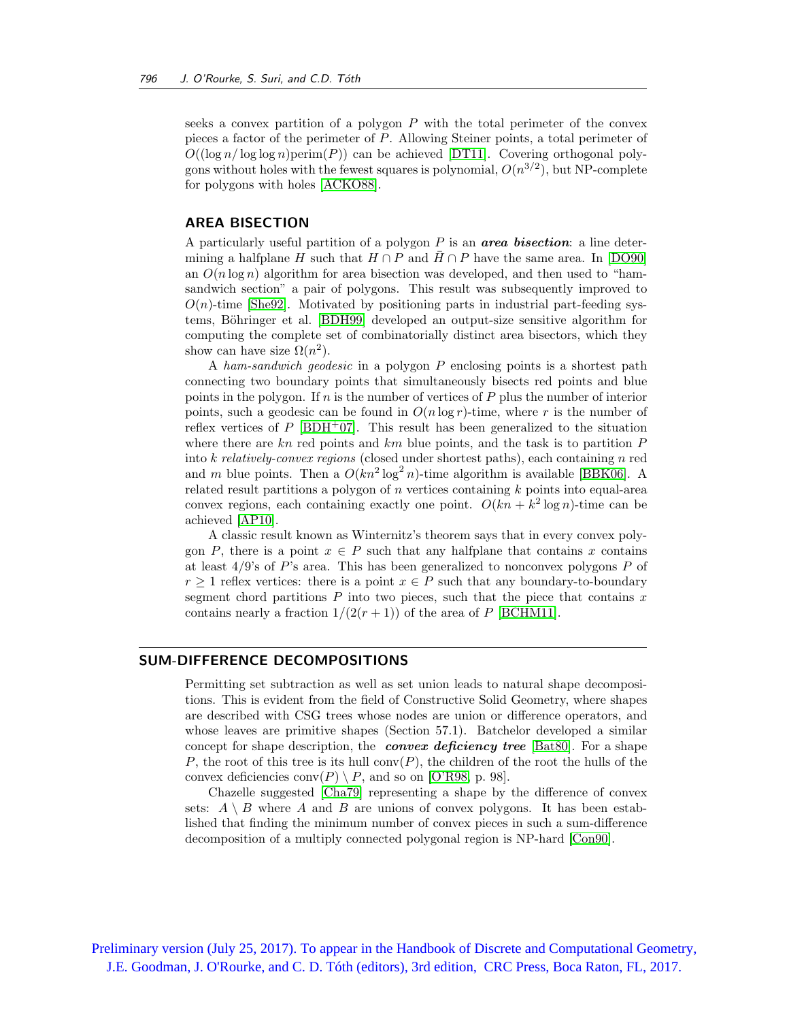seeks a convex partition of a polygon  $P$  with the total perimeter of the convex pieces a factor of the perimeter of P. Allowing Steiner points, a total perimeter of  $O((\log n/\log \log n)p\text{erim}(P))$  can be achieved [\[DT11\]](#page-20-11). Covering orthogonal polygons without holes with the fewest squares is polynomial,  $O(n^{3/2})$ , but NP-complete for polygons with holes [\[ACKO88\]](#page-17-5).

# AREA BISECTION

A particularly useful partition of a polygon  $P$  is an **area bisection**: a line determining a halfplane H such that  $H \cap P$  and  $\overline{H} \cap P$  have the same area. In [\[DO90\]](#page-20-12) an  $O(n \log n)$  algorithm for area bisection was developed, and then used to "hamsandwich section" a pair of polygons. This result was subsequently improved to  $O(n)$ -time [\[She92\]](#page-23-5). Motivated by positioning parts in industrial part-feeding sys-tems, Böhringer et al. [\[BDH99\]](#page-18-2) developed an output-size sensitive algorithm for computing the complete set of combinatorially distinct area bisectors, which they show can have size  $\Omega(n^2)$ .

A ham-sandwich geodesic in a polygon P enclosing points is a shortest path connecting two boundary points that simultaneously bisects red points and blue points in the polygon. If  $n$  is the number of vertices of  $P$  plus the number of interior points, such a geodesic can be found in  $O(n \log r)$ -time, where r is the number of reflex vertices of  $P$  [\[BDH](#page-18-3)<sup>+</sup>07]. This result has been generalized to the situation where there are  $kn$  red points and  $km$  blue points, and the task is to partition  $P$ into k relatively-convex regions (closed under shortest paths), each containing n red and m blue points. Then a  $O(kn^2 \log^2 n)$ -time algorithm is available [\[BBK06\]](#page-18-4). A related result partitions a polygon of  $n$  vertices containing  $k$  points into equal-area convex regions, each containing exactly one point.  $O(kn + k^2 \log n)$ -time can be achieved [\[AP10\]](#page-18-5).

A classic result known as Winternitz's theorem says that in every convex polygon P, there is a point  $x \in P$  such that any halfplane that contains x contains at least  $4/9$ 's of P's area. This has been generalized to nonconvex polygons P of  $r \geq 1$  reflex vertices: there is a point  $x \in P$  such that any boundary-to-boundary segment chord partitions  $P$  into two pieces, such that the piece that contains  $x$ contains nearly a fraction  $1/(2(r+1))$  of the area of P [\[BCHM11\]](#page-18-6).

## SUM-DIFFERENCE DECOMPOSITIONS

Permitting set subtraction as well as set union leads to natural shape decompositions. This is evident from the field of Constructive Solid Geometry, where shapes are described with CSG trees whose nodes are union or difference operators, and whose leaves are primitive shapes (Section 57.1). Batchelor developed a similar concept for shape description, the *convex deficiency tree* [\[Bat80\]](#page-18-7). For a shape P, the root of this tree is its hull conv $(P)$ , the children of the root the hulls of the convex deficiencies  $conv(P) \setminus P$ , and so on [\[O'R98,](#page-22-5) p. 98].

Chazelle suggested [\[Cha79\]](#page-19-9) representing a shape by the difference of convex sets:  $A \setminus B$  where A and B are unions of convex polygons. It has been established that finding the minimum number of convex pieces in such a sum-difference decomposition of a multiply connected polygonal region is NP-hard [\[Con90\]](#page-19-10).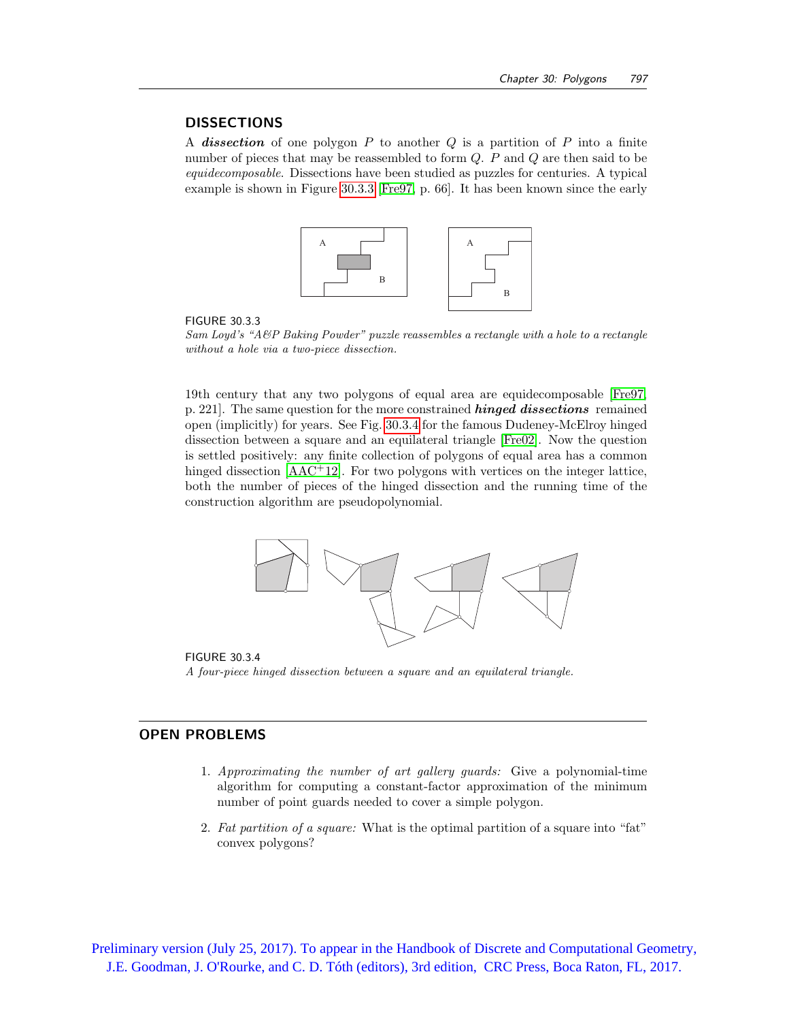### DISSECTIONS

A **dissection** of one polygon  $P$  to another  $Q$  is a partition of  $P$  into a finite number of pieces that may be reassembled to form Q. P and Q are then said to be equidecomposable. Dissections have been studied as puzzles for centuries. A typical example is shown in Figure [30.3.3](#page-10-0) [\[Fre97,](#page-20-13) p. 66]. It has been known since the early



#### FIGURE 30.3.3

<span id="page-10-0"></span>Sam Loyd's "A&P Baking Powder" puzzle reassembles a rectangle with a hole to a rectangle without a hole via a two-piece dissection.

19th century that any two polygons of equal area are equidecomposable [\[Fre97,](#page-20-13) p. 221]. The same question for the more constrained hinged dissections remained open (implicitly) for years. See Fig. [30.3.4](#page-10-1) for the famous Dudeney-McElroy hinged dissection between a square and an equilateral triangle [\[Fre02\]](#page-20-14). Now the question is settled positively: any finite collection of polygons of equal area has a common hinged dissection [\[AAC](#page-17-7)<sup>+</sup>12]. For two polygons with vertices on the integer lattice, both the number of pieces of the hinged dissection and the running time of the construction algorithm are pseudopolynomial.



<span id="page-10-1"></span>

## OPEN PROBLEMS

- 1. Approximating the number of art gallery guards: Give a polynomial-time algorithm for computing a constant-factor approximation of the minimum number of point guards needed to cover a simple polygon.
- 2. Fat partition of a square: What is the optimal partition of a square into "fat" convex polygons?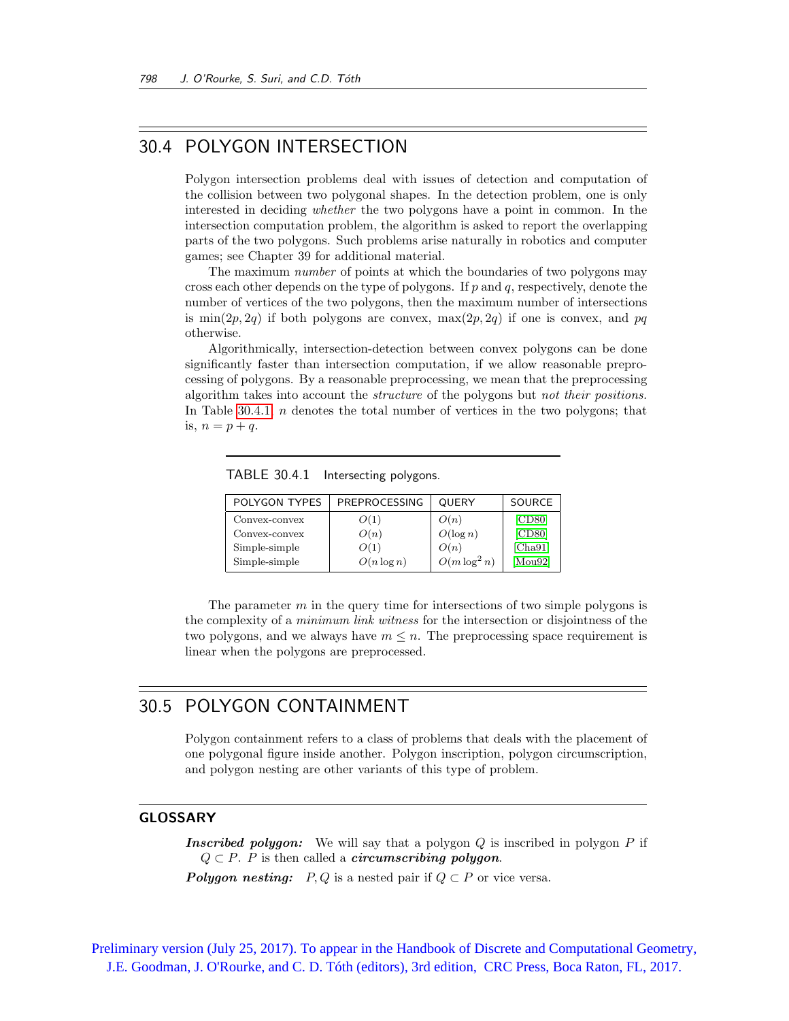# 30.4 POLYGON INTERSECTION

<span id="page-11-0"></span>Polygon intersection problems deal with issues of detection and computation of the collision between two polygonal shapes. In the detection problem, one is only interested in deciding whether the two polygons have a point in common. In the intersection computation problem, the algorithm is asked to report the overlapping parts of the two polygons. Such problems arise naturally in robotics and computer games; see Chapter 39 for additional material.

The maximum *number* of points at which the boundaries of two polygons may cross each other depends on the type of polygons. If  $p$  and  $q$ , respectively, denote the number of vertices of the two polygons, then the maximum number of intersections is min $(2p, 2q)$  if both polygons are convex, max $(2p, 2q)$  if one is convex, and pq otherwise.

Algorithmically, intersection-detection between convex polygons can be done significantly faster than intersection computation, if we allow reasonable preprocessing of polygons. By a reasonable preprocessing, we mean that the preprocessing algorithm takes into account the structure of the polygons but not their positions. In Table [30.4.1,](#page-5-0) n denotes the total number of vertices in the two polygons; that is,  $n = p + q$ .

TABLE 30.4.1 Intersecting polygons.

| <b>POLYGON TYPES</b> | PREPROCESSING | <b>QUERY</b>    | SOURCE  |
|----------------------|---------------|-----------------|---------|
| Convex-convex        | O(1)          | O(n)            | [CD80]  |
| Convex-convex        | O(n)          | $O(\log n)$     | [CD80]  |
| Simple-simple        | O(1)          | O(n)            | [Cha91] |
| Simple-simple        | $O(n \log n)$ | $O(m \log^2 n)$ | [Mou92] |

The parameter  $m$  in the query time for intersections of two simple polygons is the complexity of a minimum link witness for the intersection or disjointness of the two polygons, and we always have  $m \leq n$ . The preprocessing space requirement is linear when the polygons are preprocessed.

# 30.5 POLYGON CONTAINMENT

<span id="page-11-1"></span>Polygon containment refers to a class of problems that deals with the placement of one polygonal figure inside another. Polygon inscription, polygon circumscription, and polygon nesting are other variants of this type of problem.

### GLOSSARY

**Inscribed polygon:** We will say that a polygon  $Q$  is inscribed in polygon  $P$  if  $Q \subset P$ . P is then called a *circumscribing polygon*.

**Polygon nesting:**  $P, Q$  is a nested pair if  $Q \subset P$  or vice versa.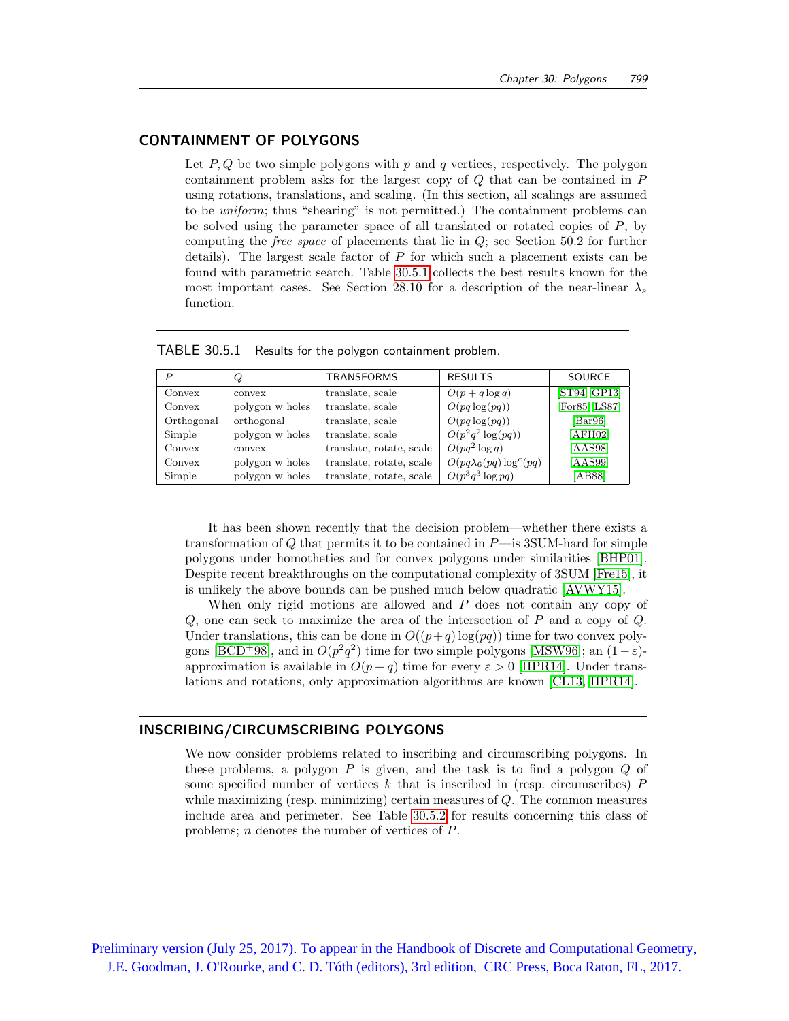### CONTAINMENT OF POLYGONS

Let  $P, Q$  be two simple polygons with p and q vertices, respectively. The polygon containment problem asks for the largest copy of Q that can be contained in P using rotations, translations, and scaling. (In this section, all scalings are assumed to be uniform; thus "shearing" is not permitted.) The containment problems can be solved using the parameter space of all translated or rotated copies of P, by computing the *free space* of placements that lie in  $Q$ ; see Section 50.2 for further details). The largest scale factor of  $P$  for which such a placement exists can be found with parametric search. Table [30.5.1](#page-5-0) collects the best results known for the most important cases. See Section 28.10 for a description of the near-linear  $\lambda_s$ function.

| P          | Q,              | <b>TRANSFORMS</b>        | <b>RESULTS</b>                 | <b>SOURCE</b>               |
|------------|-----------------|--------------------------|--------------------------------|-----------------------------|
| Convex     | convex          | translate, scale         | $O(p+q\log q)$                 | ST94, GP13                  |
| Convex     | polygon w holes | translate, scale         | $O(pq \log(pq))$               | [For85, LS87]               |
| Orthogonal | orthogonal      | translate, scale         | $O(pq \log(pq))$               | $\left[\text{Bar96}\right]$ |
| Simple     | polygon w holes | translate, scale         | $O(p^2q^2\log(pq))$            | [AFH02]                     |
| Convex     | convex          | translate, rotate, scale | $O(pq^2 \log q)$               | [AAS98]                     |
| Convex     | polygon w holes | translate, rotate, scale | $O(pq\lambda_6(pq)\log^c(pq))$ | [AAS99]                     |
| Simple     | polygon w holes | translate, rotate, scale | $O(p^3q^3 \log pq)$            | [AB88]                      |

TABLE 30.5.1 Results for the polygon containment problem.

It has been shown recently that the decision problem—whether there exists a transformation of  $Q$  that permits it to be contained in  $P$ —is 3SUM-hard for simple polygons under homotheties and for convex polygons under similarities [\[BHP01\]](#page-18-9). Despite recent breakthroughs on the computational complexity of 3SUM [\[Fre15\]](#page-20-16), it is unlikely the above bounds can be pushed much below quadratic [\[AVWY15\]](#page-18-10).

When only rigid motions are allowed and P does not contain any copy of  $Q$ , one can seek to maximize the area of the intersection of  $P$  and a copy of  $Q$ . Under translations, this can be done in  $O((p+q) \log(pq))$  time for two convex poly-gons [\[BCD](#page-18-11)<sup>+</sup>98], and in  $O(p^2q^2)$  time for two simple polygons [\[MSW96\]](#page-22-8); an  $(1 - \varepsilon)$ approximation is available in  $O(p+q)$  time for every  $\varepsilon > 0$  [\[HPR14\]](#page-21-11). Under translations and rotations, only approximation algorithms are known [\[CL13,](#page-19-12) [HPR14\]](#page-21-11).

### INSCRIBING/CIRCUMSCRIBING POLYGONS

We now consider problems related to inscribing and circumscribing polygons. In these problems, a polygon  $P$  is given, and the task is to find a polygon  $Q$  of some specified number of vertices  $k$  that is inscribed in (resp. circumscribes)  $P$ while maximizing (resp. minimizing) certain measures of  $Q$ . The common measures include area and perimeter. See Table [30.5.2](#page-5-1) for results concerning this class of problems; n denotes the number of vertices of P.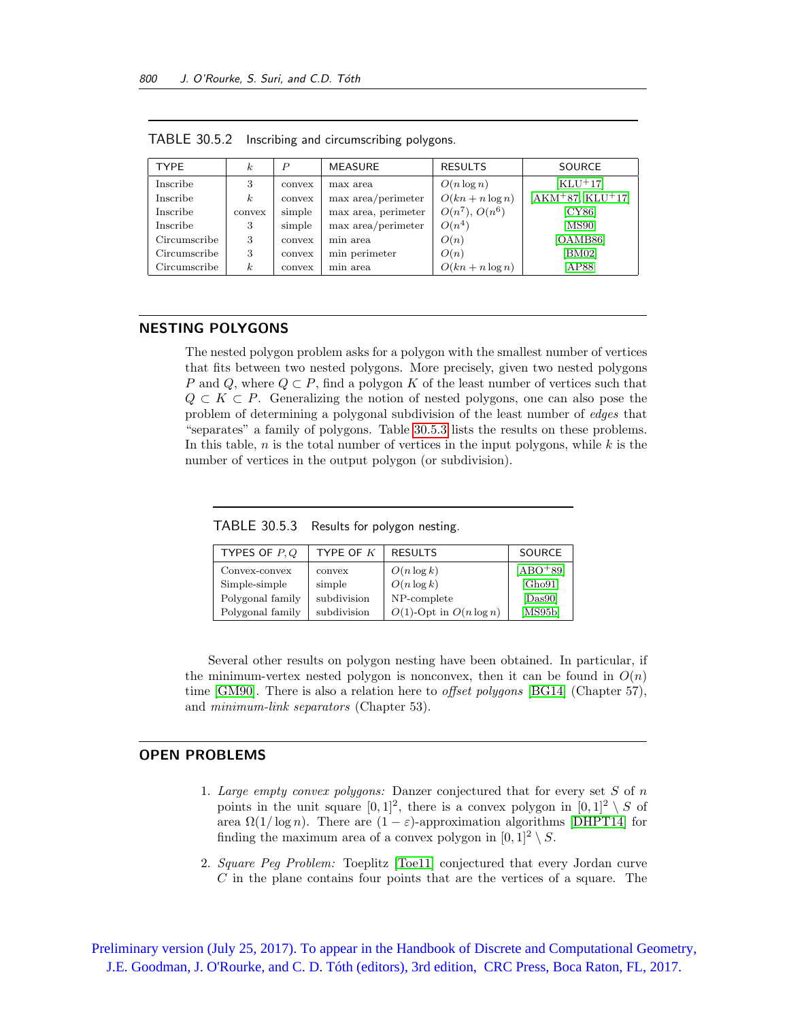| <b>TYPE</b>  | k.               | $\boldsymbol{P}$ | <b>MEASURE</b>      | <b>RESULTS</b>     | <b>SOURCE</b>      |
|--------------|------------------|------------------|---------------------|--------------------|--------------------|
| Inscribe     |                  | convex           | max area            | $O(n \log n)$      | $KLU+17$           |
| Inscribe     | $\boldsymbol{k}$ | convex           | max area/perimeter  | $O(kn + n \log n)$ | $[AKM+87, KLU+17]$ |
| Inscribe     | convex           | simple           | max area, perimeter | $O(n^7), O(n^6)$   | [CY86]             |
| Inscribe     | 3                | simple           | max area/perimeter  | $O(n^4)$           | [MS90]             |
| Circumscribe | 3                | convex           | min area            | O(n)               | [OAMB86]           |
| Circumscribe | 3                | convex           | min perimeter       | O(n)               | [BM02]             |
| Circumscribe | $\mathbf{k}$     | convex           | min area            | $O(kn + n \log n)$ | [AP88]             |

TABLE 30.5.2 Inscribing and circumscribing polygons.

## NESTING POLYGONS

The nested polygon problem asks for a polygon with the smallest number of vertices that fits between two nested polygons. More precisely, given two nested polygons P and Q, where  $Q \subset P$ , find a polygon K of the least number of vertices such that  $Q \subset K \subset P$ . Generalizing the notion of nested polygons, one can also pose the problem of determining a polygonal subdivision of the least number of edges that "separates" a family of polygons. Table [30.5.3](#page-6-0) lists the results on these problems. In this table,  $n$  is the total number of vertices in the input polygons, while  $k$  is the number of vertices in the output polygon (or subdivision).

TABLE 30.5.3 Results for polygon nesting.

| TYPES OF $P, Q$  | TYPE OF $K$ | <b>RESULTS</b>               | SOURCE     |
|------------------|-------------|------------------------------|------------|
| Convex-convex    | convex      | $O(n \log k)$                | $[ABO+89]$ |
| Simple-simple    | simple      | $O(n \log k)$                | [Gho91]    |
| Polygonal family | subdivision | NP-complete                  | [Das 90]   |
| Polygonal family | subdivision | $O(1)$ -Opt in $O(n \log n)$ | [MS95b]    |

Several other results on polygon nesting have been obtained. In particular, if the minimum-vertex nested polygon is nonconvex, then it can be found in  $O(n)$ time [\[GM90\]](#page-21-13). There is also a relation here to *offset polygons* [\[BG14\]](#page-18-15) (Chapter 57), and minimum-link separators (Chapter 53).

## OPEN PROBLEMS

- 1. Large empty convex polygons: Danzer conjectured that for every set  $S$  of  $n$ points in the unit square  $[0,1]^2$ , there is a convex polygon in  $[0,1]^2 \setminus S$  of area  $\Omega(1/\log n)$ . There are  $(1 - \varepsilon)$ -approximation algorithms [\[DHPT14\]](#page-19-15) for finding the maximum area of a convex polygon in  $[0, 1]^2 \setminus S$ .
- 2. Square Peg Problem: Toeplitz [\[Toe11\]](#page-23-7) conjectured that every Jordan curve  $C$  in the plane contains four points that are the vertices of a square. The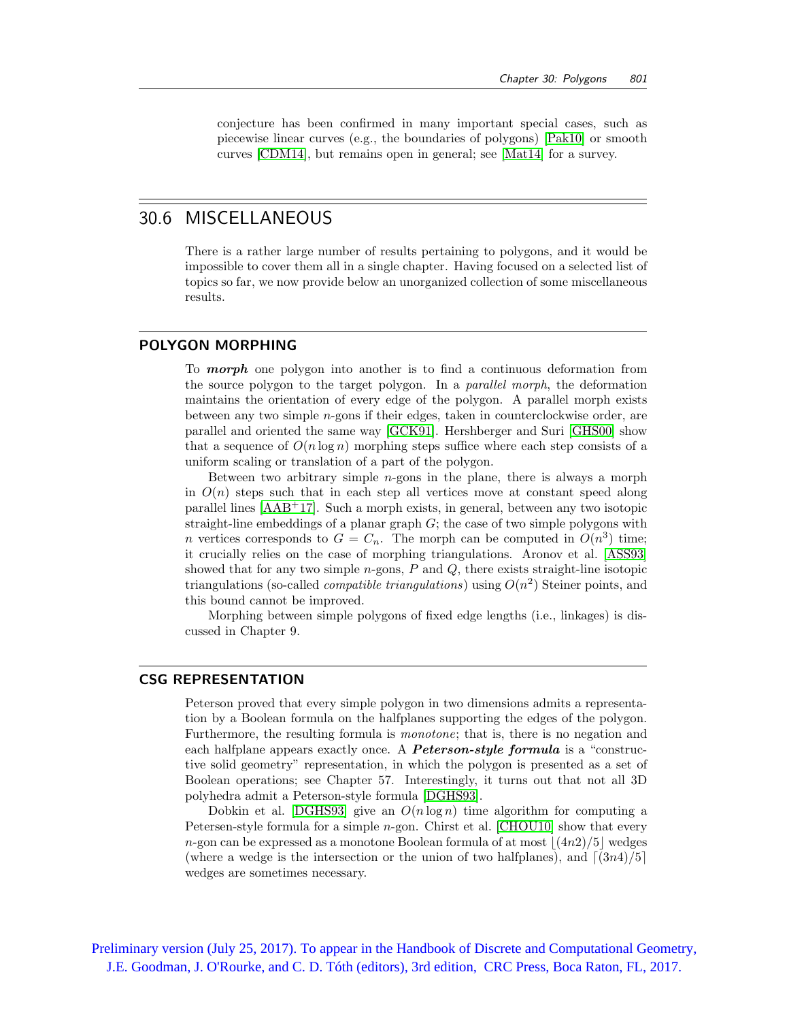conjecture has been confirmed in many important special cases, such as piecewise linear curves (e.g., the boundaries of polygons) [\[Pak10\]](#page-22-12) or smooth curves [\[CDM14\]](#page-19-16), but remains open in general; see [\[Mat14\]](#page-22-13) for a survey.

# 30.6 MISCELLANEOUS

<span id="page-14-0"></span>There is a rather large number of results pertaining to polygons, and it would be impossible to cover them all in a single chapter. Having focused on a selected list of topics so far, we now provide below an unorganized collection of some miscellaneous results.

### POLYGON MORPHING

To morph one polygon into another is to find a continuous deformation from the source polygon to the target polygon. In a parallel morph, the deformation maintains the orientation of every edge of the polygon. A parallel morph exists between any two simple n-gons if their edges, taken in counterclockwise order, are parallel and oriented the same way [\[GCK91\]](#page-20-18). Hershberger and Suri [\[GHS00\]](#page-20-19) show that a sequence of  $O(n \log n)$  morphing steps suffice where each step consists of a uniform scaling or translation of a part of the polygon.

Between two arbitrary simple  $n$ -gons in the plane, there is always a morph in  $O(n)$  steps such that in each step all vertices move at constant speed along parallel lines [\[AAB](#page-17-13)+17]. Such a morph exists, in general, between any two isotopic straight-line embeddings of a planar graph  $G$ ; the case of two simple polygons with *n* vertices corresponds to  $G = C_n$ . The morph can be computed in  $O(n^3)$  time; it crucially relies on the case of morphing triangulations. Aronov et al. [\[ASS93\]](#page-18-16) showed that for any two simple  $n$ -gons,  $P$  and  $Q$ , there exists straight-line isotopic triangulations (so-called *compatible triangulations*) using  $O(n^2)$  Steiner points, and this bound cannot be improved.

Morphing between simple polygons of fixed edge lengths (i.e., linkages) is discussed in Chapter 9.

# CSG REPRESENTATION

Peterson proved that every simple polygon in two dimensions admits a representation by a Boolean formula on the halfplanes supporting the edges of the polygon. Furthermore, the resulting formula is monotone; that is, there is no negation and each halfplane appears exactly once. A **Peterson-style formula** is a "constructive solid geometry" representation, in which the polygon is presented as a set of Boolean operations; see Chapter 57. Interestingly, it turns out that not all 3D polyhedra admit a Peterson-style formula [\[DGHS93\]](#page-19-17).

Dobkin et al. [\[DGHS93\]](#page-19-17) give an  $O(n \log n)$  time algorithm for computing a Petersen-style formula for a simple  $n$ -gon. Chirst et al. [\[CHOU10\]](#page-19-18) show that every n-gon can be expressed as a monotone Boolean formula of at most  $|(4n2)/5|$  wedges (where a wedge is the intersection or the union of two halfplanes), and  $\lceil (3n4)/5 \rceil$ wedges are sometimes necessary.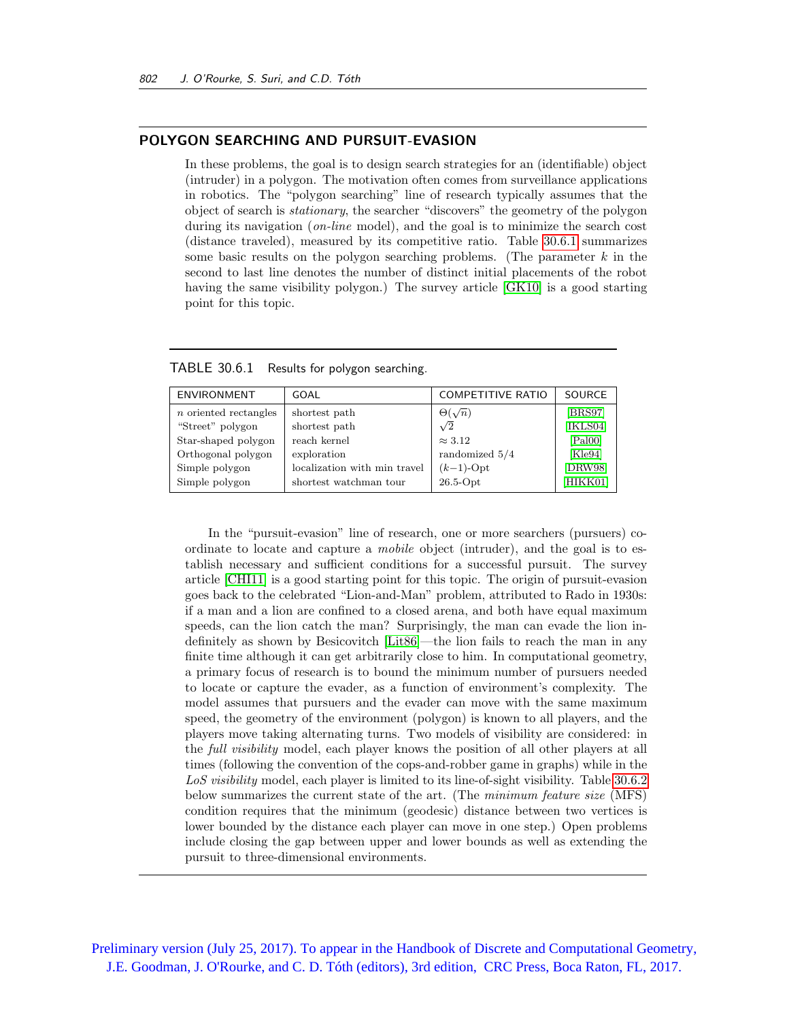### POLYGON SEARCHING AND PURSUIT-EVASION

In these problems, the goal is to design search strategies for an (identifiable) object (intruder) in a polygon. The motivation often comes from surveillance applications in robotics. The "polygon searching" line of research typically assumes that the object of search is stationary, the searcher "discovers" the geometry of the polygon during its navigation (*on-line* model), and the goal is to minimize the search cost (distance traveled), measured by its competitive ratio. Table [30.6.1](#page-5-0) summarizes some basic results on the polygon searching problems. (The parameter  $k$  in the second to last line denotes the number of distinct initial placements of the robot having the same visibility polygon.) The survey article [\[GK10\]](#page-20-20) is a good starting point for this topic.

| <b>ENVIRONMENT</b>      | GOAL                         | <b>COMPETITIVE RATIO</b> | <b>SOURCE</b> |
|-------------------------|------------------------------|--------------------------|---------------|
| $n$ oriented rectangles | shortest path                | $\Theta(\sqrt{n})$       | [BRS97]       |
| "Street" polygon        | shortest path                | $\sqrt{2}$               | [IKLS04]      |
| Star-shaped polygon     | reach kernel                 | $\approx 3.12$           | [Pal00]       |
| Orthogonal polygon      | exploration                  | randomized 5/4           | [Kle94]       |
| Simple polygon          | localization with min travel | $(k-1)$ -Opt             | [DRW98]       |
| Simple polygon          | shortest watchman tour       | $26.5$ -Opt              | HIKK01        |

TABLE 30.6.1 Results for polygon searching.

In the "pursuit-evasion" line of research, one or more searchers (pursuers) coordinate to locate and capture a mobile object (intruder), and the goal is to establish necessary and sufficient conditions for a successful pursuit. The survey article [\[CHI11\]](#page-19-19) is a good starting point for this topic. The origin of pursuit-evasion goes back to the celebrated "Lion-and-Man" problem, attributed to Rado in 1930s: if a man and a lion are confined to a closed arena, and both have equal maximum speeds, can the lion catch the man? Surprisingly, the man can evade the lion indefinitely as shown by Besicovitch [\[Lit86\]](#page-22-14)—the lion fails to reach the man in any finite time although it can get arbitrarily close to him. In computational geometry, a primary focus of research is to bound the minimum number of pursuers needed to locate or capture the evader, as a function of environment's complexity. The model assumes that pursuers and the evader can move with the same maximum speed, the geometry of the environment (polygon) is known to all players, and the players move taking alternating turns. Two models of visibility are considered: in the full visibility model, each player knows the position of all other players at all times (following the convention of the cops-and-robber game in graphs) while in the LoS visibility model, each player is limited to its line-of-sight visibility. Table [30.6.2](#page-5-1) below summarizes the current state of the art. (The minimum feature size (MFS) condition requires that the minimum (geodesic) distance between two vertices is lower bounded by the distance each player can move in one step.) Open problems include closing the gap between upper and lower bounds as well as extending the pursuit to three-dimensional environments.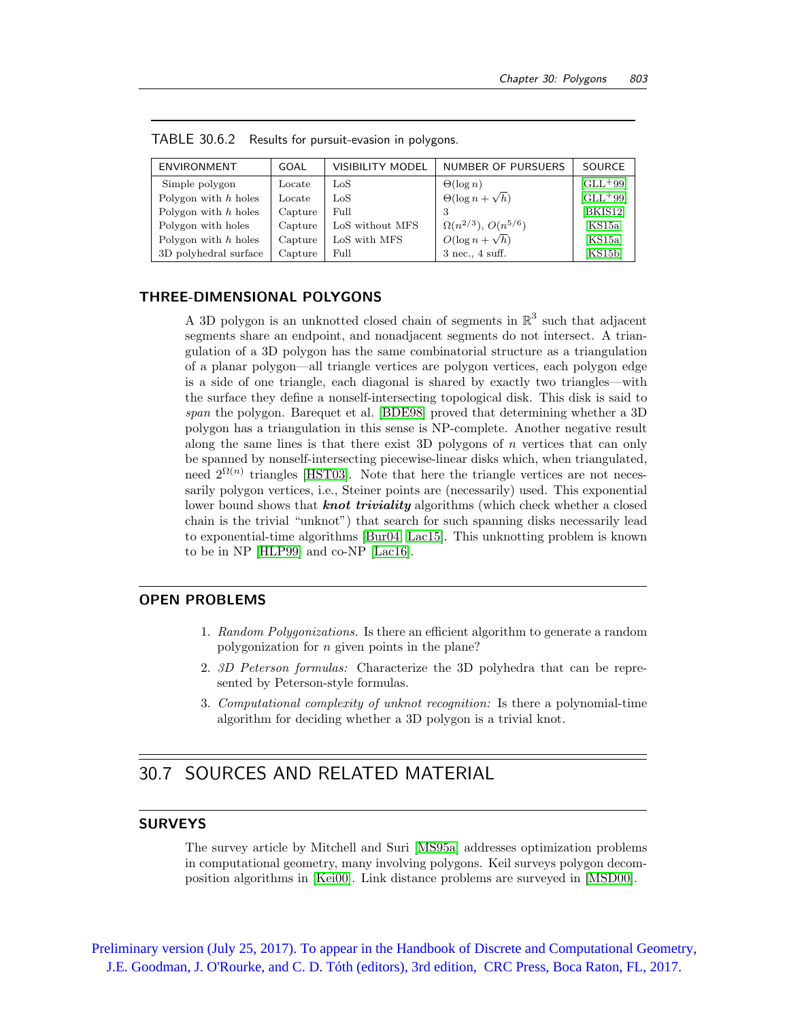| <b>ENVIRONMENT</b>     | GOAL    | <b>VISIBILITY MODEL</b> | <b>NUMBER OF PURSUERS</b>     | <b>SOURCE</b> |
|------------------------|---------|-------------------------|-------------------------------|---------------|
| Simple polygon         | Locate  | LoS                     | $\Theta(\log n)$              | $[GLL+99]$    |
| Polygon with $h$ holes | Locate  | LoS                     | $\Theta(\log n + \sqrt{h})$   | $[GLL+99]$    |
| Polygon with $h$ holes | Capture | Full                    |                               | [BKIS12]      |
| Polygon with holes     | Capture | LoS without MFS         | $\Omega(n^{2/3}), O(n^{5/6})$ | [KS15a]       |
| Polygon with $h$ holes | Capture | LoS with MFS            | $O(\log n + \sqrt{h})$        | [KS15a]       |
| 3D polyhedral surface  | Capture | Full                    | $3$ nec., $4$ suff.           | [KS15b]       |

TABLE 30.6.2 Results for pursuit-evasion in polygons.

# THREE-DIMENSIONAL POLYGONS

A 3D polygon is an unknotted closed chain of segments in  $\mathbb{R}^3$  such that adjacent segments share an endpoint, and nonadjacent segments do not intersect. A triangulation of a 3D polygon has the same combinatorial structure as a triangulation of a planar polygon—all triangle vertices are polygon vertices, each polygon edge is a side of one triangle, each diagonal is shared by exactly two triangles—with the surface they define a nonself-intersecting topological disk. This disk is said to span the polygon. Barequet et al. [\[BDE98\]](#page-18-19) proved that determining whether a 3D polygon has a triangulation in this sense is NP-complete. Another negative result along the same lines is that there exist 3D polygons of  $n$  vertices that can only be spanned by nonself-intersecting piecewise-linear disks which, when triangulated, need  $2^{\Omega(n)}$  triangles [\[HST03\]](#page-21-18). Note that here the triangle vertices are not necessarily polygon vertices, i.e., Steiner points are (necessarily) used. This exponential lower bound shows that **knot triviality** algorithms (which check whether a closed chain is the trivial "unknot") that search for such spanning disks necessarily lead to exponential-time algorithms [\[Bur04,](#page-19-20) [Lac15\]](#page-22-17). This unknotting problem is known to be in NP [\[HLP99\]](#page-21-19) and co-NP [\[Lac16\]](#page-22-18).

### OPEN PROBLEMS

- 1. Random Polygonizations. Is there an efficient algorithm to generate a random polygonization for n given points in the plane?
- 2. 3D Peterson formulas: Characterize the 3D polyhedra that can be represented by Peterson-style formulas.
- 3. Computational complexity of unknot recognition: Is there a polynomial-time algorithm for deciding whether a 3D polygon is a trivial knot.

# 30.7 SOURCES AND RELATED MATERIAL

# **SURVEYS**

The survey article by Mitchell and Suri [\[MS95a\]](#page-22-19) addresses optimization problems in computational geometry, many involving polygons. Keil surveys polygon decomposition algorithms in [\[Kei00\]](#page-21-20). Link distance problems are surveyed in [\[MSD00\]](#page-22-20).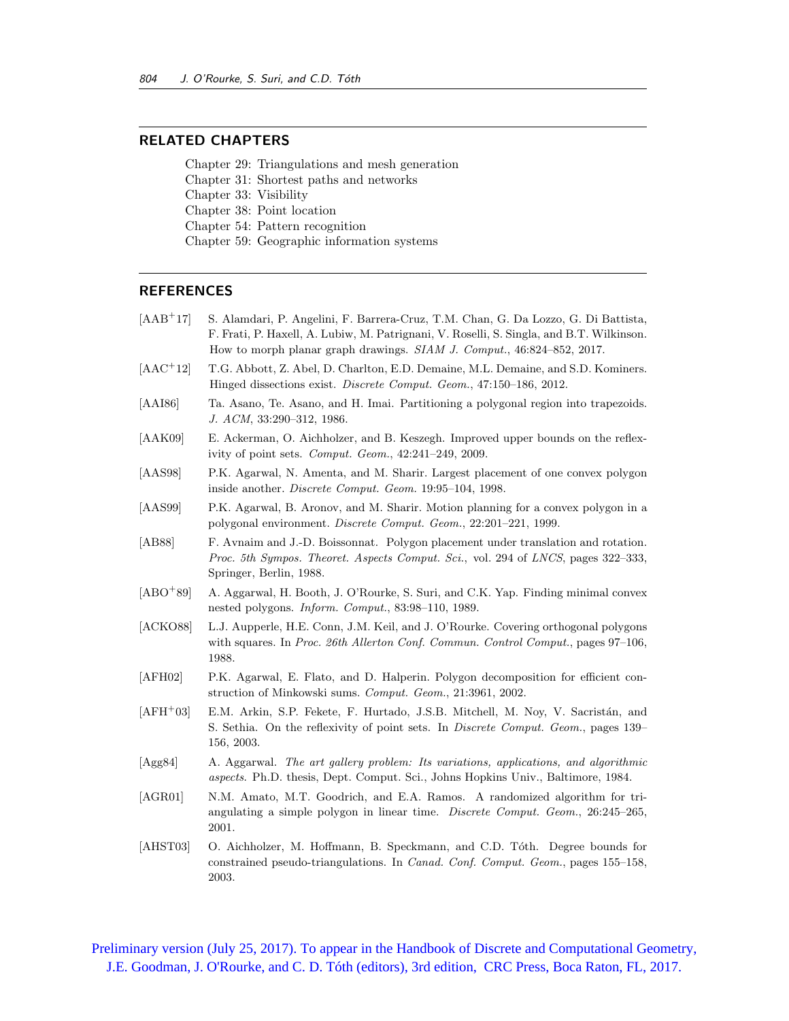## RELATED CHAPTERS

Chapter 29: Triangulations and mesh generation Chapter 31: Shortest paths and networks Chapter 33: Visibility Chapter 38: Point location Chapter 54: Pattern recognition Chapter 59: Geographic information systems

### REFERENCES

<span id="page-17-8"></span><span id="page-17-5"></span><span id="page-17-4"></span><span id="page-17-3"></span><span id="page-17-2"></span><span id="page-17-0"></span>2003.

<span id="page-17-13"></span><span id="page-17-12"></span><span id="page-17-11"></span><span id="page-17-10"></span><span id="page-17-9"></span><span id="page-17-7"></span><span id="page-17-6"></span><span id="page-17-1"></span>[AAB<sup>+</sup>17] S. Alamdari, P. Angelini, F. Barrera-Cruz, T.M. Chan, G. Da Lozzo, G. Di Battista, F. Frati, P. Haxell, A. Lubiw, M. Patrignani, V. Roselli, S. Singla, and B.T. Wilkinson. How to morph planar graph drawings. SIAM J. Comput., 46:824–852, 2017. [AAC<sup>+</sup>12] T.G. Abbott, Z. Abel, D. Charlton, E.D. Demaine, M.L. Demaine, and S.D. Kominers. Hinged dissections exist. Discrete Comput. Geom., 47:150–186, 2012. [AAI86] Ta. Asano, Te. Asano, and H. Imai. Partitioning a polygonal region into trapezoids. J. ACM, 33:290–312, 1986. [AAK09] E. Ackerman, O. Aichholzer, and B. Keszegh. Improved upper bounds on the reflexivity of point sets. Comput. Geom., 42:241–249, 2009. [AAS98] P.K. Agarwal, N. Amenta, and M. Sharir. Largest placement of one convex polygon inside another. Discrete Comput. Geom. 19:95–104, 1998. [AAS99] P.K. Agarwal, B. Aronov, and M. Sharir. Motion planning for a convex polygon in a polygonal environment. Discrete Comput. Geom., 22:201–221, 1999. [AB88] F. Avnaim and J.-D. Boissonnat. Polygon placement under translation and rotation. Proc. 5th Sympos. Theoret. Aspects Comput. Sci., vol. 294 of LNCS, pages 322–333, Springer, Berlin, 1988. [ABO<sup>+</sup>89] A. Aggarwal, H. Booth, J. O'Rourke, S. Suri, and C.K. Yap. Finding minimal convex nested polygons. Inform. Comput., 83:98–110, 1989. [ACKO88] L.J. Aupperle, H.E. Conn, J.M. Keil, and J. O'Rourke. Covering orthogonal polygons with squares. In Proc. 26th Allerton Conf. Commun. Control Comput., pages 97–106, 1988. [AFH02] P.K. Agarwal, E. Flato, and D. Halperin. Polygon decomposition for efficient construction of Minkowski sums. Comput. Geom., 21:3961, 2002. [AFH<sup>+</sup>03] E.M. Arkin, S.P. Fekete, F. Hurtado, J.S.B. Mitchell, M. Noy, V. Sacristán, and S. Sethia. On the reflexivity of point sets. In Discrete Comput. Geom., pages 139– 156, 2003. [Agg84] A. Aggarwal. The art gallery problem: Its variations, applications, and algorithmic aspects. Ph.D. thesis, Dept. Comput. Sci., Johns Hopkins Univ., Baltimore, 1984. [AGR01] N.M. Amato, M.T. Goodrich, and E.A. Ramos. A randomized algorithm for triangulating a simple polygon in linear time. Discrete Comput. Geom., 26:245–265, 2001. [AHST03] O. Aichholzer, M. Hoffmann, B. Speckmann, and C.D. Tóth. Degree bounds for constrained pseudo-triangulations. In Canad. Conf. Comput. Geom., pages 155–158,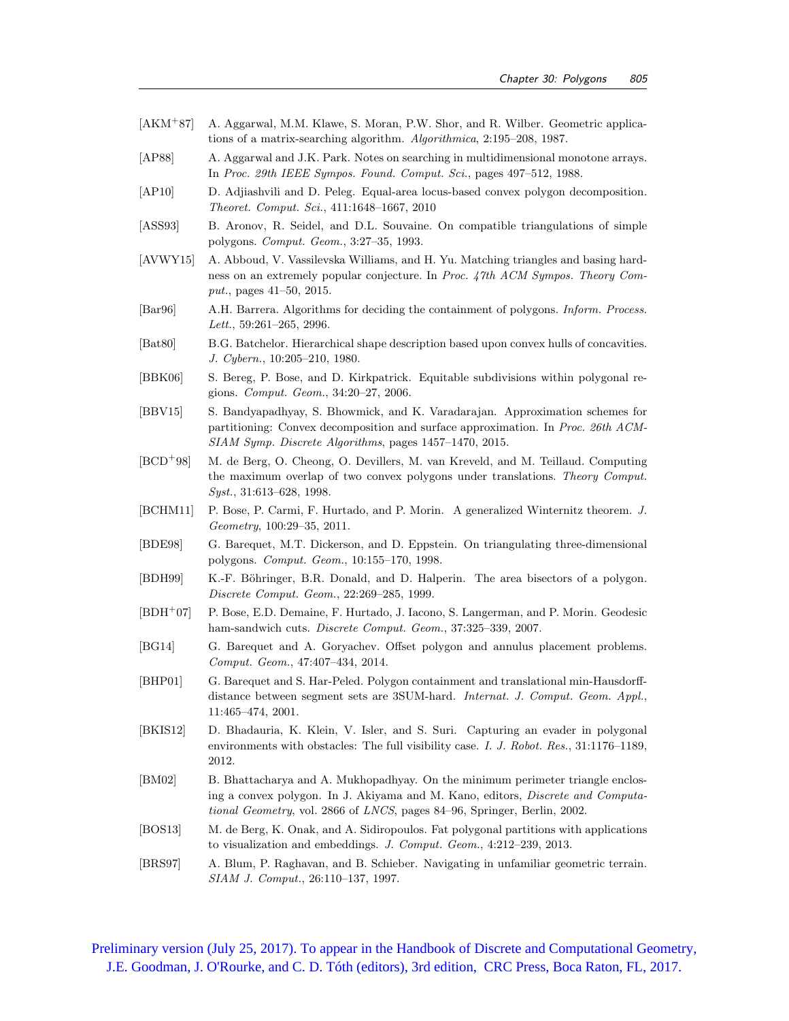- <span id="page-18-12"></span>[AKM<sup>+</sup>87] A. Aggarwal, M.M. Klawe, S. Moran, P.W. Shor, and R. Wilber. Geometric applications of a matrix-searching algorithm. Algorithmica, 2:195–208, 1987.
- <span id="page-18-14"></span>[AP88] A. Aggarwal and J.K. Park. Notes on searching in multidimensional monotone arrays. In Proc. 29th IEEE Sympos. Found. Comput. Sci., pages 497–512, 1988.
- <span id="page-18-5"></span>[AP10] D. Adjiashvili and D. Peleg. Equal-area locus-based convex polygon decomposition. Theoret. Comput. Sci., 411:1648–1667, 2010
- <span id="page-18-16"></span>[ASS93] B. Aronov, R. Seidel, and D.L. Souvaine. On compatible triangulations of simple polygons. Comput. Geom., 3:27–35, 1993.
- <span id="page-18-10"></span>[AVWY15] A. Abboud, V. Vassilevska Williams, and H. Yu. Matching triangles and basing hardness on an extremely popular conjecture. In Proc. 47th ACM Sympos. Theory Comput., pages 41–50, 2015.
- <span id="page-18-8"></span>[Bar96] A.H. Barrera. Algorithms for deciding the containment of polygons. Inform. Process. Lett., 59:261–265, 2996.
- <span id="page-18-7"></span>[Bat80] B.G. Batchelor. Hierarchical shape description based upon convex hulls of concavities. J. Cybern., 10:205–210, 1980.
- <span id="page-18-4"></span>[BBK06] S. Bereg, P. Bose, and D. Kirkpatrick. Equitable subdivisions within polygonal regions. Comput. Geom., 34:20–27, 2006.
- <span id="page-18-0"></span>[BBV15] S. Bandyapadhyay, S. Bhowmick, and K. Varadarajan. Approximation schemes for partitioning: Convex decomposition and surface approximation. In Proc. 26th ACM-SIAM Symp. Discrete Algorithms, pages 1457–1470, 2015.
- <span id="page-18-11"></span>[BCD<sup>+</sup>98] M. de Berg, O. Cheong, O. Devillers, M. van Kreveld, and M. Teillaud. Computing the maximum overlap of two convex polygons under translations. Theory Comput. Syst., 31:613–628, 1998.
- <span id="page-18-6"></span>[BCHM11] P. Bose, P. Carmi, F. Hurtado, and P. Morin. A generalized Winternitz theorem. J. Geometry, 100:29–35, 2011.
- <span id="page-18-19"></span>[BDE98] G. Barequet, M.T. Dickerson, and D. Eppstein. On triangulating three-dimensional polygons. Comput. Geom., 10:155–170, 1998.
- <span id="page-18-2"></span>[BDH99] K.-F. Böhringer, B.R. Donald, and D. Halperin. The area bisectors of a polygon. Discrete Comput. Geom., 22:269–285, 1999.
- <span id="page-18-3"></span>[BDH<sup>+</sup>07] P. Bose, E.D. Demaine, F. Hurtado, J. Iacono, S. Langerman, and P. Morin. Geodesic ham-sandwich cuts. Discrete Comput. Geom., 37:325-339, 2007.
- <span id="page-18-15"></span>[BG14] G. Barequet and A. Goryachev. Offset polygon and annulus placement problems. Comput. Geom., 47:407–434, 2014.
- <span id="page-18-9"></span>[BHP01] G. Barequet and S. Har-Peled. Polygon containment and translational min-Hausdorffdistance between segment sets are 3SUM-hard. Internat. J. Comput. Geom. Appl., 11:465–474, 2001.
- <span id="page-18-18"></span>[BKIS12] D. Bhadauria, K. Klein, V. Isler, and S. Suri. Capturing an evader in polygonal environments with obstacles: The full visibility case. I. J. Robot. Res., 31:1176-1189, 2012.
- <span id="page-18-13"></span>[BM02] B. Bhattacharya and A. Mukhopadhyay. On the minimum perimeter triangle enclosing a convex polygon. In J. Akiyama and M. Kano, editors, Discrete and Computational Geometry, vol. 2866 of LNCS, pages 84–96, Springer, Berlin, 2002.
- <span id="page-18-1"></span>[BOS13] M. de Berg, K. Onak, and A. Sidiropoulos. Fat polygonal partitions with applications to visualization and embeddings. J. Comput. Geom., 4:212–239, 2013.
- <span id="page-18-17"></span>[BRS97] A. Blum, P. Raghavan, and B. Schieber. Navigating in unfamiliar geometric terrain. SIAM J. Comput., 26:110–137, 1997.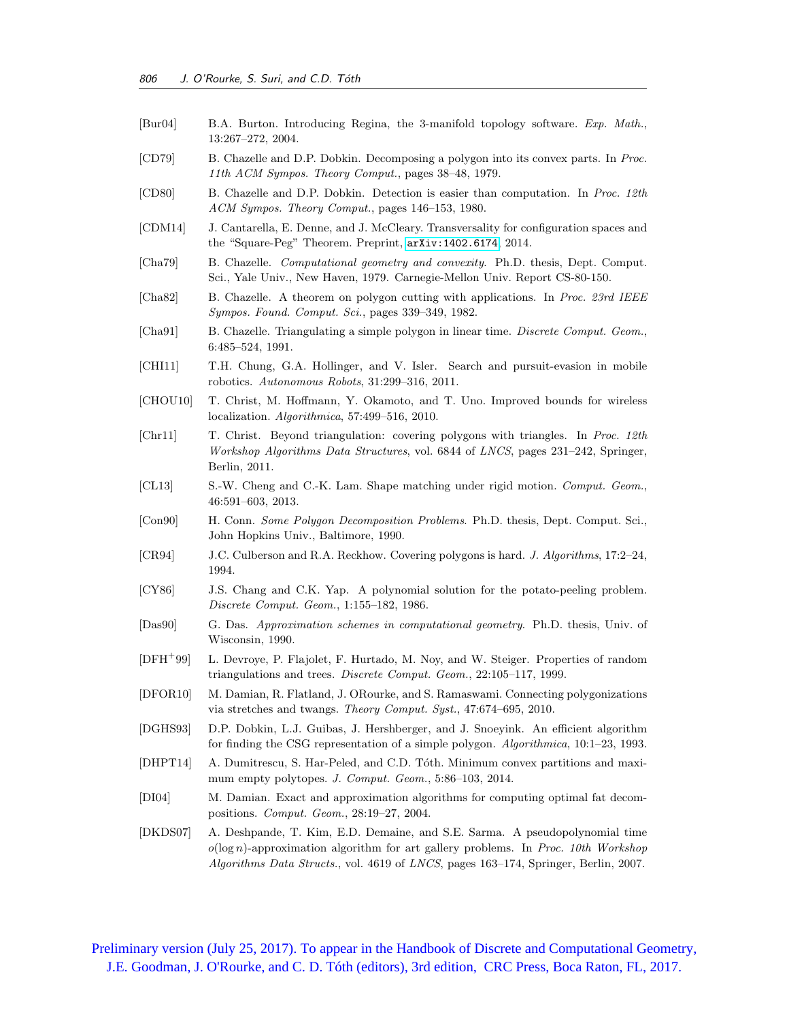- <span id="page-19-20"></span>[Bur04] B.A. Burton. Introducing Regina, the 3-manifold topology software. Exp. Math., 13:267–272, 2004.
- <span id="page-19-6"></span>[CD79] B. Chazelle and D.P. Dobkin. Decomposing a polygon into its convex parts. In Proc. 11th ACM Sympos. Theory Comput., pages 38–48, 1979.
- <span id="page-19-11"></span>[CD80] B. Chazelle and D.P. Dobkin. Detection is easier than computation. In Proc. 12th ACM Sympos. Theory Comput., pages 146–153, 1980.
- <span id="page-19-16"></span>[CDM14] J. Cantarella, E. Denne, and J. McCleary. Transversality for configuration spaces and the "Square-Peg" Theorem. Preprint, <arXiv:1402.6174>, 2014.
- <span id="page-19-9"></span>[Cha79] B. Chazelle. Computational geometry and convexity. Ph.D. thesis, Dept. Comput. Sci., Yale Univ., New Haven, 1979. Carnegie-Mellon Univ. Report CS-80-150.
- <span id="page-19-1"></span>[Cha82] B. Chazelle. A theorem on polygon cutting with applications. In Proc. 23rd IEEE Sympos. Found. Comput. Sci., pages 339–349, 1982.
- <span id="page-19-2"></span>[Cha91] B. Chazelle. Triangulating a simple polygon in linear time. Discrete Comput. Geom., 6:485–524, 1991.
- <span id="page-19-19"></span>[CHI11] T.H. Chung, G.A. Hollinger, and V. Isler. Search and pursuit-evasion in mobile robotics. Autonomous Robots, 31:299–316, 2011.
- <span id="page-19-18"></span>[CHOU10] T. Christ, M. Hoffmann, Y. Okamoto, and T. Uno. Improved bounds for wireless localization. Algorithmica, 57:499–516, 2010.
- <span id="page-19-4"></span>[Chr11] T. Christ. Beyond triangulation: covering polygons with triangles. In Proc. 12th Workshop Algorithms Data Structures, vol. 6844 of LNCS, pages 231–242, Springer, Berlin, 2011.
- <span id="page-19-12"></span>[CL13] S.-W. Cheng and C.-K. Lam. Shape matching under rigid motion. Comput. Geom., 46:591–603, 2013.
- <span id="page-19-10"></span>[Con90] H. Conn. *Some Polygon Decomposition Problems*. Ph.D. thesis, Dept. Comput. Sci., John Hopkins Univ., Baltimore, 1990.
- <span id="page-19-5"></span>[CR94] J.C. Culberson and R.A. Reckhow. Covering polygons is hard. J. Algorithms, 17:2–24, 1994.
- <span id="page-19-13"></span>[CY86] J.S. Chang and C.K. Yap. A polynomial solution for the potato-peeling problem. Discrete Comput. Geom., 1:155–182, 1986.
- <span id="page-19-14"></span>[Das90] G. Das. Approximation schemes in computational geometry. Ph.D. thesis, Univ. of Wisconsin, 1990.
- <span id="page-19-3"></span>[DFH<sup>+</sup>99] L. Devroye, P. Flajolet, F. Hurtado, M. Noy, and W. Steiger. Properties of random triangulations and trees. Discrete Comput. Geom., 22:105–117, 1999.
- <span id="page-19-0"></span>[DFOR10] M. Damian, R. Flatland, J. ORourke, and S. Ramaswami. Connecting polygonizations via stretches and twangs. Theory Comput. Syst., 47:674–695, 2010.
- <span id="page-19-17"></span>[DGHS93] D.P. Dobkin, L.J. Guibas, J. Hershberger, and J. Snoeyink. An efficient algorithm for finding the CSG representation of a simple polygon. Algorithmica, 10:1–23, 1993.
- <span id="page-19-15"></span>[DHPT14] A. Dumitrescu, S. Har-Peled, and C.D. Tóth. Minimum convex partitions and maximum empty polytopes. J. Comput. Geom., 5:86–103, 2014.
- <span id="page-19-8"></span>[DI04] M. Damian. Exact and approximation algorithms for computing optimal fat decompositions. Comput. Geom., 28:19–27, 2004.
- <span id="page-19-7"></span>[DKDS07] A. Deshpande, T. Kim, E.D. Demaine, and S.E. Sarma. A pseudopolynomial time  $o(\log n)$ -approximation algorithm for art gallery problems. In *Proc. 10th Workshop* Algorithms Data Structs., vol. 4619 of LNCS, pages 163–174, Springer, Berlin, 2007.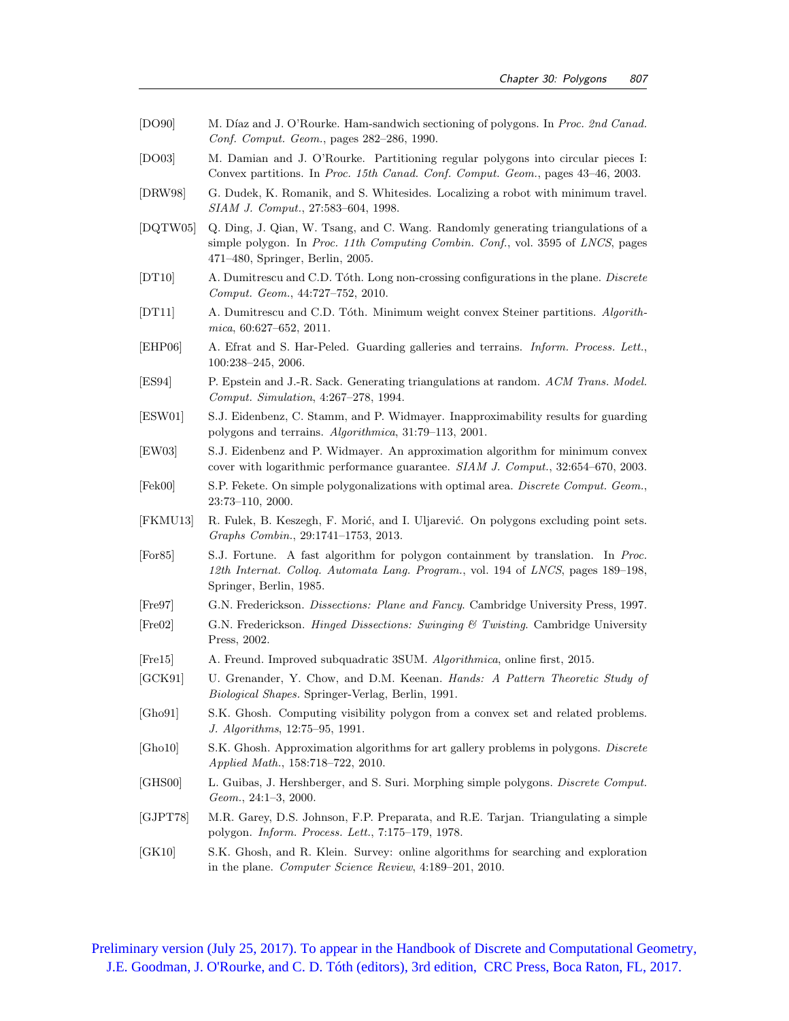- <span id="page-20-12"></span>[DO90] M. Díaz and J. O'Rourke. Ham-sandwich sectioning of polygons. In Proc. 2nd Canad. Conf. Comput. Geom., pages 282–286, 1990.
- <span id="page-20-10"></span>[DO03] M. Damian and J. O'Rourke. Partitioning regular polygons into circular pieces I: Convex partitions. In Proc. 15th Canad. Conf. Comput. Geom., pages 43–46, 2003.
- <span id="page-20-21"></span>[DRW98] G. Dudek, K. Romanik, and S. Whitesides. Localizing a robot with minimum travel. SIAM J. Comput., 27:583–604, 1998.
- <span id="page-20-5"></span>[DQTW05] Q. Ding, J. Qian, W. Tsang, and C. Wang. Randomly generating triangulations of a simple polygon. In Proc. 11th Computing Combin. Conf., vol. 3595 of LNCS, pages 471–480, Springer, Berlin, 2005.
- <span id="page-20-0"></span>[DT10] A. Dumitrescu and C.D. Tóth. Long non-crossing configurations in the plane. Discrete Comput. Geom., 44:727–752, 2010.
- <span id="page-20-11"></span>[DT11] A. Dumitrescu and C.D. Tóth. Minimum weight convex Steiner partitions. Algorithmica, 60:627–652, 2011.
- <span id="page-20-9"></span>[EHP06] A. Efrat and S. Har-Peled. Guarding galleries and terrains. Inform. Process. Lett., 100:238–245, 2006.
- <span id="page-20-4"></span>[ES94] P. Epstein and J.-R. Sack. Generating triangulations at random. ACM Trans. Model. Comput. Simulation, 4:267–278, 1994.
- <span id="page-20-6"></span>[ESW01] S.J. Eidenbenz, C. Stamm, and P. Widmayer. Inapproximability results for guarding polygons and terrains. Algorithmica, 31:79–113, 2001.
- <span id="page-20-7"></span>[EW03] S.J. Eidenbenz and P. Widmayer. An approximation algorithm for minimum convex cover with logarithmic performance guarantee. SIAM J. Comput., 32:654–670, 2003.
- <span id="page-20-1"></span>[Fek00] S.P. Fekete. On simple polygonalizations with optimal area. Discrete Comput. Geom., 23:73–110, 2000.
- <span id="page-20-2"></span>[FKMU13] R. Fulek, B. Keszegh, F. Morić, and I. Uljarević. On polygons excluding point sets. Graphs Combin., 29:1741–1753, 2013.
- <span id="page-20-15"></span>[For85] S.J. Fortune. A fast algorithm for polygon containment by translation. In Proc. 12th Internat. Colloq. Automata Lang. Program., vol. 194 of LNCS, pages 189–198, Springer, Berlin, 1985.
- <span id="page-20-13"></span>[Fre97] G.N. Frederickson. Dissections: Plane and Fancy. Cambridge University Press, 1997.
- <span id="page-20-14"></span>[Fre02] G.N. Frederickson. Hinged Dissections: Swinging & Twisting. Cambridge University Press, 2002.
- <span id="page-20-16"></span>[Fre15] A. Freund. Improved subquadratic 3SUM. Algorithmica, online first, 2015.
- <span id="page-20-18"></span>[GCK91] U. Grenander, Y. Chow, and D.M. Keenan. Hands: A Pattern Theoretic Study of Biological Shapes. Springer-Verlag, Berlin, 1991.
- <span id="page-20-17"></span>[Gho91] S.K. Ghosh. Computing visibility polygon from a convex set and related problems. J. Algorithms, 12:75–95, 1991.
- <span id="page-20-8"></span>[Gho10] S.K. Ghosh. Approximation algorithms for art gallery problems in polygons. Discrete Applied Math., 158:718–722, 2010.
- <span id="page-20-19"></span>[GHS00] L. Guibas, J. Hershberger, and S. Suri. Morphing simple polygons. Discrete Comput. Geom., 24:1–3, 2000.
- <span id="page-20-3"></span>[GJPT78] M.R. Garey, D.S. Johnson, F.P. Preparata, and R.E. Tarjan. Triangulating a simple polygon. Inform. Process. Lett., 7:175–179, 1978.
- <span id="page-20-20"></span>[GK10] S.K. Ghosh, and R. Klein. Survey: online algorithms for searching and exploration in the plane. Computer Science Review, 4:189–201, 2010.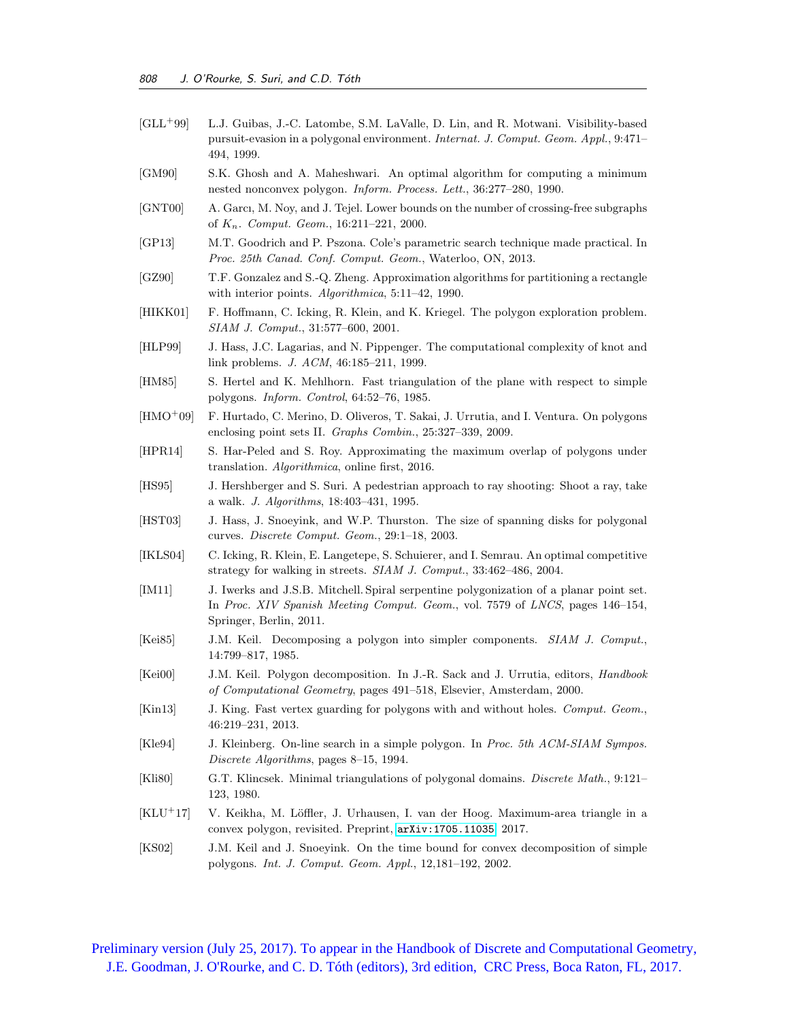- <span id="page-21-17"></span>[GLL<sup>+</sup>99] L.J. Guibas, J.-C. Latombe, S.M. LaValle, D. Lin, and R. Motwani. Visibility-based pursuit-evasion in a polygonal environment. Internat. J. Comput. Geom. Appl., 9:471– 494, 1999.
- <span id="page-21-13"></span>[GM90] S.K. Ghosh and A. Maheshwari. An optimal algorithm for computing a minimum nested nonconvex polygon. Inform. Process. Lett., 36:277–280, 1990.
- <span id="page-21-1"></span>[GNT00] A. Garcı, M. Noy, and J. Tejel. Lower bounds on the number of crossing-free subgraphs of  $K_n$ . Comput. Geom., 16:211-221, 2000.
- <span id="page-21-10"></span>[GP13] M.T. Goodrich and P. Pszona. Cole's parametric search technique made practical. In Proc. 25th Canad. Conf. Comput. Geom., Waterloo, ON, 2013.
- <span id="page-21-9"></span>[GZ90] T.F. Gonzalez and S.-Q. Zheng. Approximation algorithms for partitioning a rectangle with interior points. Algorithmica, 5:11-42, 1990.
- <span id="page-21-16"></span>[HIKK01] F. Hoffmann, C. Icking, R. Klein, and K. Kriegel. The polygon exploration problem. SIAM J. Comput., 31:577–600, 2001.
- <span id="page-21-19"></span>[HLP99] J. Hass, J.C. Lagarias, and N. Pippenger. The computational complexity of knot and link problems. J. ACM, 46:185–211, 1999.
- <span id="page-21-4"></span>[HM85] S. Hertel and K. Mehlhorn. Fast triangulation of the plane with respect to simple polygons. Inform. Control, 64:52–76, 1985.
- <span id="page-21-2"></span>[HMO<sup>+</sup>09] F. Hurtado, C. Merino, D. Oliveros, T. Sakai, J. Urrutia, and I. Ventura. On polygons enclosing point sets II. Graphs Combin., 25:327–339, 2009.
- <span id="page-21-11"></span>[HPR14] S. Har-Peled and S. Roy. Approximating the maximum overlap of polygons under translation. Algorithmica, online first, 2016.
- <span id="page-21-3"></span>[HS95] J. Hershberger and S. Suri. A pedestrian approach to ray shooting: Shoot a ray, take a walk. J. Algorithms, 18:403–431, 1995.
- <span id="page-21-18"></span>[HST03] J. Hass, J. Snoeyink, and W.P. Thurston. The size of spanning disks for polygonal curves. Discrete Comput. Geom., 29:1–18, 2003.
- <span id="page-21-14"></span>[IKLS04] C. Icking, R. Klein, E. Langetepe, S. Schuierer, and I. Semrau. An optimal competitive strategy for walking in streets. SIAM J. Comput., 33:462–486, 2004.
- <span id="page-21-0"></span>[IM11] J. Iwerks and J.S.B. Mitchell. Spiral serpentine polygonization of a planar point set. In Proc. XIV Spanish Meeting Comput. Geom., vol. 7579 of LNCS, pages 146–154, Springer, Berlin, 2011.
- <span id="page-21-6"></span>[Kei85] J.M. Keil. Decomposing a polygon into simpler components. SIAM J. Comput., 14:799–817, 1985.
- <span id="page-21-20"></span>[Kei00] J.M. Keil. Polygon decomposition. In J.-R. Sack and J. Urrutia, editors, Handbook of Computational Geometry, pages 491–518, Elsevier, Amsterdam, 2000.
- <span id="page-21-8"></span>[Kin13] J. King. Fast vertex guarding for polygons with and without holes. Comput. Geom., 46:219–231, 2013.
- <span id="page-21-15"></span>[Kle94] J. Kleinberg. On-line search in a simple polygon. In Proc. 5th ACM-SIAM Sympos. Discrete Algorithms, pages 8–15, 1994.
- <span id="page-21-5"></span>[Kli80] G.T. Klincsek. Minimal triangulations of polygonal domains. Discrete Math., 9:121– 123, 1980.
- <span id="page-21-12"></span> $[KLU^+17]$  V. Keikha, M. Löffler, J. Urhausen, I. van der Hoog. Maximum-area triangle in a convex polygon, revisited. Preprint, <arXiv:1705.11035>, 2017.
- <span id="page-21-7"></span>[KS02] J.M. Keil and J. Snoeyink. On the time bound for convex decomposition of simple polygons. Int. J. Comput. Geom. Appl., 12,181–192, 2002.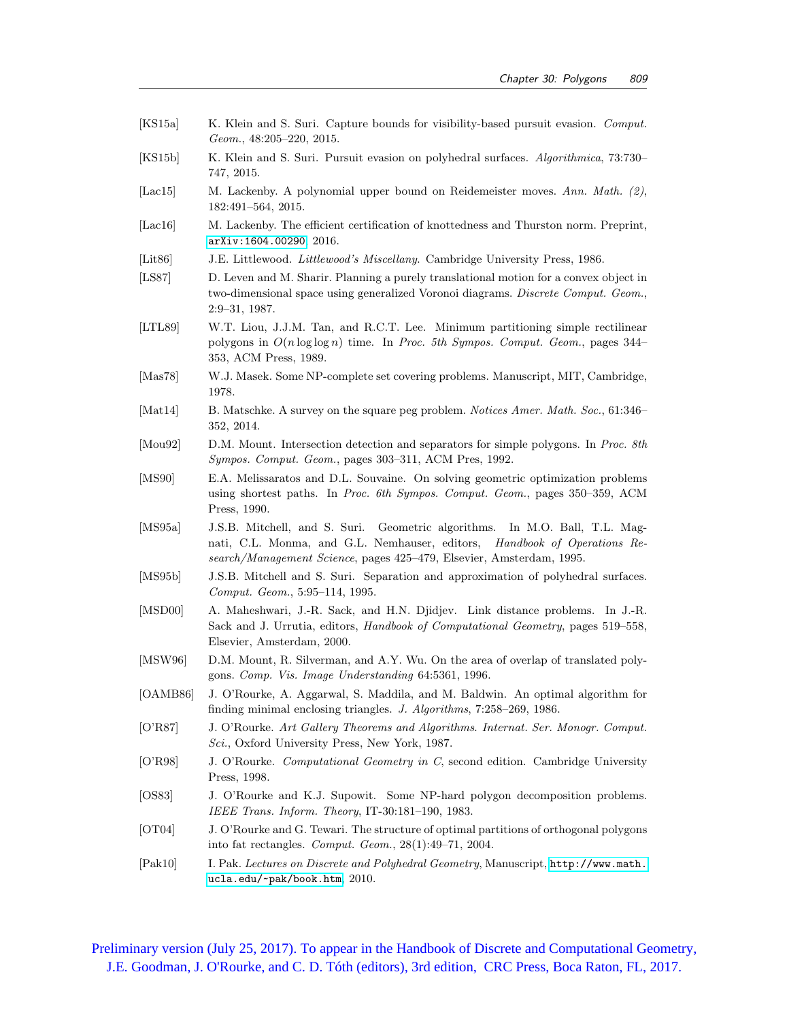<span id="page-22-20"></span><span id="page-22-19"></span><span id="page-22-18"></span><span id="page-22-17"></span><span id="page-22-16"></span><span id="page-22-15"></span><span id="page-22-14"></span><span id="page-22-13"></span><span id="page-22-12"></span><span id="page-22-11"></span><span id="page-22-10"></span><span id="page-22-9"></span><span id="page-22-8"></span><span id="page-22-7"></span><span id="page-22-6"></span><span id="page-22-5"></span><span id="page-22-4"></span><span id="page-22-3"></span><span id="page-22-2"></span><span id="page-22-1"></span><span id="page-22-0"></span>

| [KS15a]                 | K. Klein and S. Suri. Capture bounds for visibility-based pursuit evasion. Comput.<br>$Geom., 48:205-220, 2015.$                                                                                                                 |
|-------------------------|----------------------------------------------------------------------------------------------------------------------------------------------------------------------------------------------------------------------------------|
| [KS15b]                 | K. Klein and S. Suri. Pursuit evasion on polyhedral surfaces. <i>Algorithmica</i> , 73:730–<br>747, 2015.                                                                                                                        |
| [Lac $15$ ]             | M. Lackenby. A polynomial upper bound on Reidemeister moves. Ann. Math. (2),<br>$182:491-564, 2015.$                                                                                                                             |
| $\vert$ Lac16 $\vert$   | M. Lackenby. The efficient certification of knottedness and Thurston norm. Preprint,<br>arXiv:1604.00290, 2016.                                                                                                                  |
| [Lit86]                 | J.E. Littlewood. Littlewood's Miscellany. Cambridge University Press, 1986.                                                                                                                                                      |
| [LS87]                  | D. Leven and M. Sharir. Planning a purely translational motion for a convex object in<br>two-dimensional space using generalized Voronoi diagrams. Discrete Comput. Geom.,<br>$2:9-31, 1987.$                                    |
| [LTL89]                 | W.T. Liou, J.J.M. Tan, and R.C.T. Lee. Minimum partitioning simple rectilinear<br>polygons in $O(n \log \log n)$ time. In <i>Proc. 5th Sympos. Comput. Geom.</i> , pages 344–<br>353, ACM Press, 1989.                           |
| [ $Mass78$ ]            | W.J. Masek. Some NP-complete set covering problems. Manuscript, MIT, Cambridge,<br>1978.                                                                                                                                         |
| [Mat14]                 | B. Matschke. A survey on the square peg problem. Notices Amer. Math. Soc., 61:346–<br>352, 2014.                                                                                                                                 |
| [Mou92]                 | D.M. Mount. Intersection detection and separators for simple polygons. In Proc. 8th<br>Sympos. Comput. Geom., pages 303-311, ACM Pres, 1992.                                                                                     |
| [MS90]                  | E.A. Melissaratos and D.L. Souvaine. On solving geometric optimization problems<br>using shortest paths. In Proc. 6th Sympos. Comput. Geom., pages 350-359, ACM<br>Press, 1990.                                                  |
| [MS95a]                 | J.S.B. Mitchell, and S. Suri. Geometric algorithms. In M.O. Ball, T.L. Mag-<br>nati, C.L. Monma, and G.L. Nemhauser, editors, Handbook of Operations Re-<br>search/Management Science, pages 425–479, Elsevier, Amsterdam, 1995. |
| [MS95b]                 | J.S.B. Mitchell and S. Suri. Separation and approximation of polyhedral surfaces.<br>Comput. Geom., 5:95-114, 1995.                                                                                                              |
| [MSD00]                 | A. Maheshwari, J.-R. Sack, and H.N. Djidjev. Link distance problems. In J.-R.<br>Sack and J. Urrutia, editors, <i>Handbook of Computational Geometry</i> , pages 519–558,<br>Elsevier, Amsterdam, 2000.                          |
| [MSW96]                 | D.M. Mount, R. Silverman, and A.Y. Wu. On the area of overlap of translated poly-<br>gons. Comp. Vis. Image Understanding 64:5361, 1996.                                                                                         |
| [OAMB86]                | J. O'Rourke, A. Aggarwal, S. Maddila, and M. Baldwin. An optimal algorithm for<br>finding minimal enclosing triangles. J. Algorithms, 7:258-269, 1986.                                                                           |
| [O'R87]                 | J. O'Rourke. Art Gallery Theorems and Algorithms. Internat. Ser. Monogr. Comput.<br><i>Sci.</i> , Oxford University Press, New York, 1987.                                                                                       |
| [O'R98]                 | J. O'Rourke. Computational Geometry in C, second edition. Cambridge University<br>Press, 1998.                                                                                                                                   |
| $\left[$ OS83 $\right]$ | J. O'Rourke and K.J. Supowit. Some NP-hard polygon decomposition problems.<br>IEEE Trans. Inform. Theory, IT-30:181-190, 1983.                                                                                                   |
| [OT04]                  | J. O'Rourke and G. Tewari. The structure of optimal partitions of orthogonal polygons<br>into fat rectangles. <i>Comput. Geom.</i> , $28(1):49-71$ , $2004$ .                                                                    |
| [Pak10]                 | I. Pak. Lectures on Discrete and Polyhedral Geometry, Manuscript, http://www.math.<br>ucla.edu/~pak/book.htm, 2010.                                                                                                              |